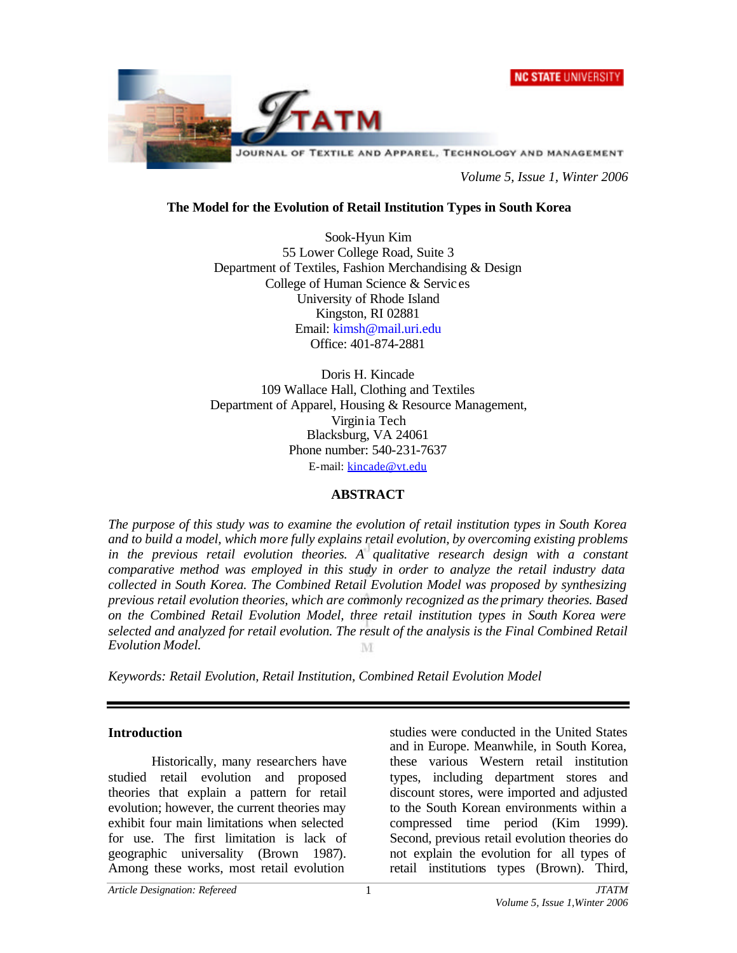



*Volume 5, Issue 1, Winter 2006*

#### **The Model for the Evolution of Retail Institution Types in South Korea**

Sook-Hyun Kim 55 Lower College Road, Suite 3 Department of Textiles, Fashion Merchandising & Design College of Human Science & Servic es University of Rhode Island Kingston, RI 02881 Email: [kimsh@mail.uri.edu](mailto:kimsh@mail.uri.edu) Office: 401-874-2881

Doris H. Kincade 109 Wallace Hall, Clothing and Textiles Department of Apparel, Housing & Resource Management, Virginia Tech Blacksburg, VA 24061 Phone number: 540-231-7637 E-mail: [kincade@vt.edu](mailto:kincade@vt.edu)

#### **ABSTRACT**

*The purpose of this study was to examine the evolution of retail institution types in South Korea and to build a model, which more fully explains retail evolution, by overcoming existing problems in the previous retail evolution theories. A qualitative research design with a constant comparative method was employed in this study in order to analyze the retail industry data collected in South Korea. The Combined Retail Evolution Model was proposed by synthesizing previous retail evolution theories, which are commonly recognized as the primary theories. Based on the Combined Retail Evolution Model, three retail institution types in South Korea were selected and analyzed for retail evolution. The result of the analysis is the Final Combined Retail Evolution Model.* M

*Keywords: Retail Evolution, Retail Institution, Combined Retail Evolution Model*

#### **Introduction**

Historically, many researchers have studied retail evolution and proposed theories that explain a pattern for retail evolution; however, the current theories may exhibit four main limitations when selected for use. The first limitation is lack of geographic universality (Brown 1987). Among these works, most retail evolution

studies were conducted in the United States and in Europe. Meanwhile, in South Korea, these various Western retail institution types, including department stores and discount stores, were imported and adjusted to the South Korean environments within a compressed time period (Kim 1999). Second, previous retail evolution theories do not explain the evolution for all types of retail institutions types (Brown). Third,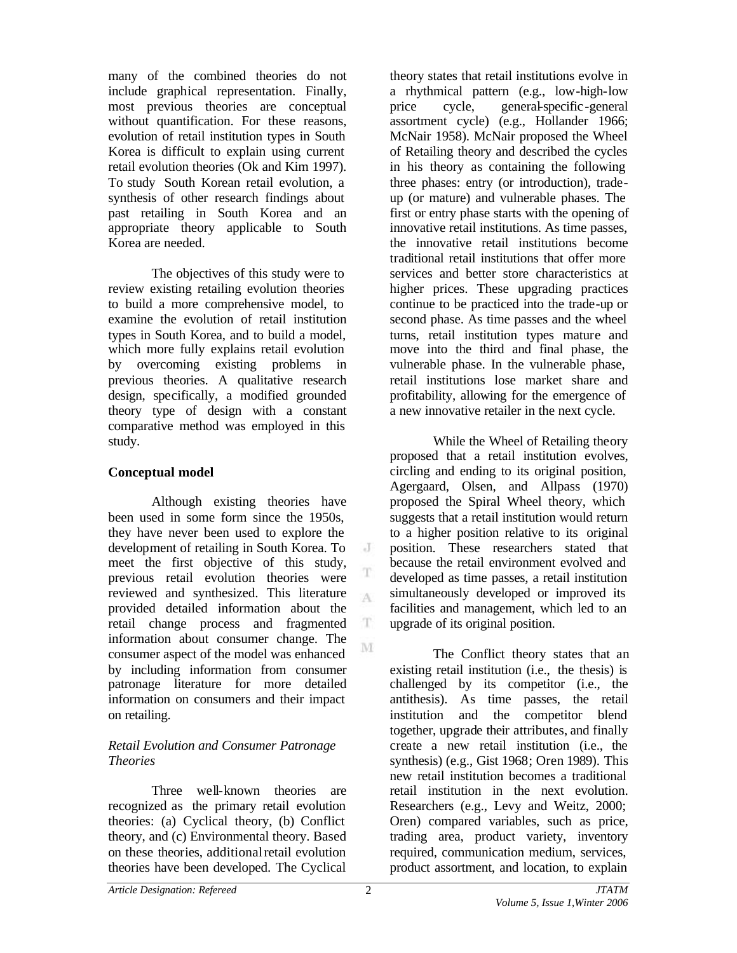many of the combined theories do not include graphical representation. Finally, most previous theories are conceptual without quantification. For these reasons, evolution of retail institution types in South Korea is difficult to explain using current retail evolution theories (Ok and Kim 1997). To study South Korean retail evolution, a synthesis of other research findings about past retailing in South Korea and an appropriate theory applicable to South Korea are needed.

The objectives of this study were to review existing retailing evolution theories to build a more comprehensive model, to examine the evolution of retail institution types in South Korea, and to build a model, which more fully explains retail evolution by overcoming existing problems in previous theories. A qualitative research design, specifically, a modified grounded theory type of design with a constant comparative method was employed in this study.

### **Conceptual model**

Although existing theories have been used in some form since the 1950s, they have never been used to explore the development of retailing in South Korea. To meet the first objective of this study, previous retail evolution theories were reviewed and synthesized. This literature provided detailed information about the retail change process and fragmented information about consumer change. The consumer aspect of the model was enhanced by including information from consumer patronage literature for more detailed information on consumers and their impact on retailing.

## *Retail Evolution and Consumer Patronage Theories*

Three well-known theories are recognized as the primary retail evolution theories: (a) Cyclical theory, (b) Conflict theory, and (c) Environmental theory. Based on these theories, additional retail evolution theories have been developed. The Cyclical

theory states that retail institutions evolve in a rhythmical pattern (e.g., low-high-low price cycle, general-specific -general assortment cycle) (e.g., Hollander 1966; McNair 1958). McNair proposed the Wheel of Retailing theory and described the cycles in his theory as containing the following three phases: entry (or introduction), tradeup (or mature) and vulnerable phases. The first or entry phase starts with the opening of innovative retail institutions. As time passes, the innovative retail institutions become traditional retail institutions that offer more services and better store characteristics at higher prices. These upgrading practices continue to be practiced into the trade-up or second phase. As time passes and the wheel turns, retail institution types mature and move into the third and final phase, the vulnerable phase. In the vulnerable phase, retail institutions lose market share and profitability, allowing for the emergence of a new innovative retailer in the next cycle.

While the Wheel of Retailing theory proposed that a retail institution evolves, circling and ending to its original position, Agergaard, Olsen, and Allpass (1970) proposed the Spiral Wheel theory, which suggests that a retail institution would return to a higher position relative to its original position. These researchers stated that because the retail environment evolved and developed as time passes, a retail institution simultaneously developed or improved its facilities and management, which led to an upgrade of its original position.

The Conflict theory states that an existing retail institution (i.e., the thesis) is challenged by its competitor (i.e., the antithesis). As time passes, the retail institution and the competitor blend together, upgrade their attributes, and finally create a new retail institution (i.e., the synthesis) (e.g., Gist 1968; Oren 1989). This new retail institution becomes a traditional retail institution in the next evolution. Researchers (e.g., Levy and Weitz, 2000; Oren) compared variables, such as price, trading area, product variety, inventory required, communication medium, services, product assortment, and location, to explain

 $\cdot$  J

T A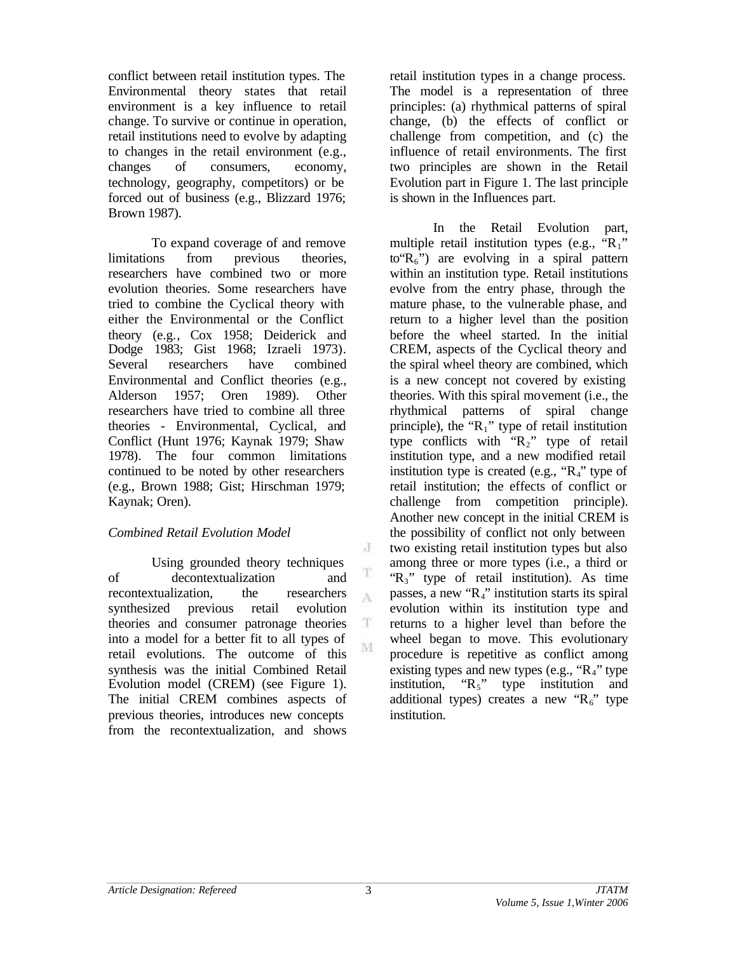conflict between retail institution types. The Environmental theory states that retail environment is a key influence to retail change. To survive or continue in operation, retail institutions need to evolve by adapting to changes in the retail environment (e.g., changes of consumers, economy, technology, geography, competitors) or be forced out of business (e.g., Blizzard 1976; Brown 1987).

To expand coverage of and remove limitations from previous theories, researchers have combined two or more evolution theories. Some researchers have tried to combine the Cyclical theory with either the Environmental or the Conflict theory (e.g., Cox 1958; Deiderick and Dodge 1983; Gist 1968; Izraeli 1973). Several researchers have combined Environmental and Conflict theories (e.g., Alderson 1957; Oren 1989). Other researchers have tried to combine all three theories - Environmental, Cyclical, and Conflict (Hunt 1976; Kaynak 1979; Shaw 1978). The four common limitations continued to be noted by other researchers (e.g., Brown 1988; Gist; Hirschman 1979; Kaynak; Oren).

## *Combined Retail Evolution Model*

Using grounded theory techniques of decontextualization and recontextualization, the researchers synthesized previous retail evolution theories and consumer patronage theories into a model for a better fit to all types of retail evolutions. The outcome of this synthesis was the initial Combined Retail Evolution model (CREM) (see Figure 1). The initial CREM combines aspects of previous theories, introduces new concepts from the recontextualization, and shows

retail institution types in a change process. The model is a representation of three principles: (a) rhythmical patterns of spiral change, (b) the effects of conflict or challenge from competition, and (c) the influence of retail environments. The first two principles are shown in the Retail Evolution part in Figure 1. The last principle is shown in the Influences part.

In the Retail Evolution part, multiple retail institution types (e.g., " $R_1$ " to  $(R_6")$  are evolving in a spiral pattern within an institution type. Retail institutions evolve from the entry phase, through the mature phase, to the vulnerable phase, and return to a higher level than the position before the wheel started. In the initial CREM, aspects of the Cyclical theory and the spiral wheel theory are combined, which is a new concept not covered by existing theories. With this spiral movement (i.e., the rhythmical patterns of spiral change principle), the " $R_1$ " type of retail institution type conflicts with  $R_2$ " type of retail institution type, and a new modified retail institution type is created (e.g.,  $R_4$ " type of retail institution; the effects of conflict or challenge from competition principle). Another new concept in the initial CREM is the possibility of conflict not only between two existing retail institution types but also among three or more types (i.e., a third or  $R_3$ " type of retail institution). As time passes, a new " $R_4$ " institution starts its spiral evolution within its institution type and returns to a higher level than before the wheel began to move. This evolutionary procedure is repetitive as conflict among existing types and new types (e.g.,  $R_4$ " type institution,  $R_5$ " type institution and additional types) creates a new " $R_6$ " type institution.

J

T A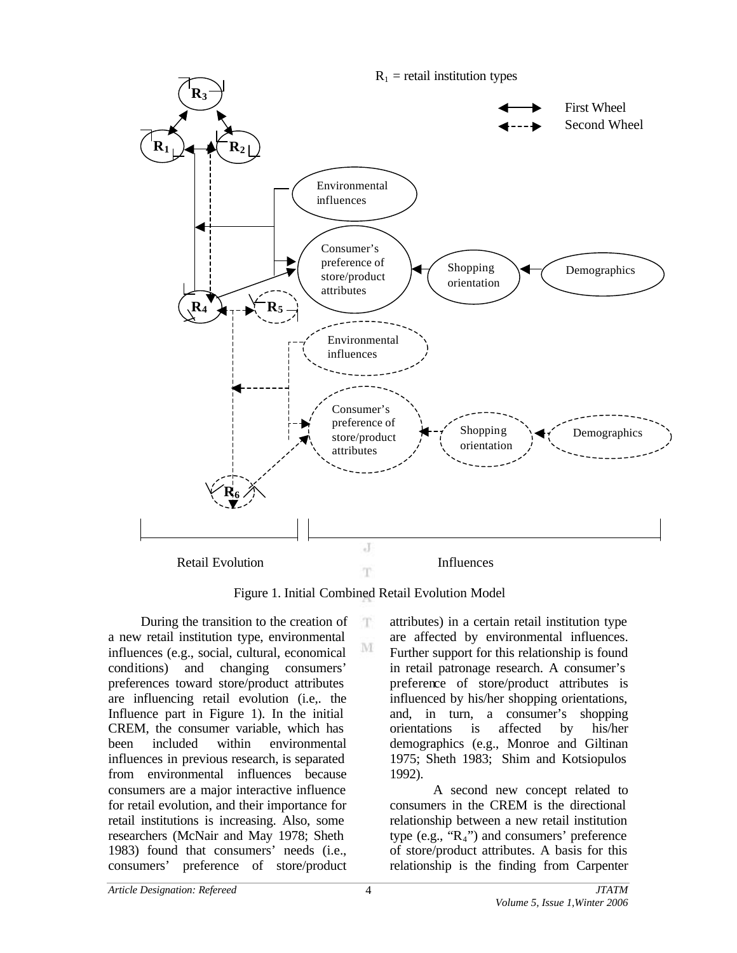

Figure 1. Initial Combined Retail Evolution Model

T

M

During the transition to the creation of a new retail institution type, environmental influences (e.g., social, cultural, economical conditions) and changing consumers' preferences toward store/product attributes are influencing retail evolution (i.e,. the Influence part in Figure 1). In the initial CREM, the consumer variable, which has been included within environmental influences in previous research, is separated from environmental influences because consumers are a major interactive influence for retail evolution, and their importance for retail institutions is increasing. Also, some researchers (McNair and May 1978; Sheth 1983) found that consumers' needs (i.e., consumers' preference of store/product

attributes) in a certain retail institution type are affected by environmental influences. Further support for this relationship is found in retail patronage research. A consumer's preference of store/product attributes is influenced by his/her shopping orientations, and, in turn, a consumer's shopping orientations is affected by his/her demographics (e.g., Monroe and Giltinan 1975; Sheth 1983; Shim and Kotsiopulos 1992).

A second new concept related to consumers in the CREM is the directional relationship between a new retail institution type (e.g.,  $R_4$ ") and consumers' preference of store/product attributes. A basis for this relationship is the finding from Carpenter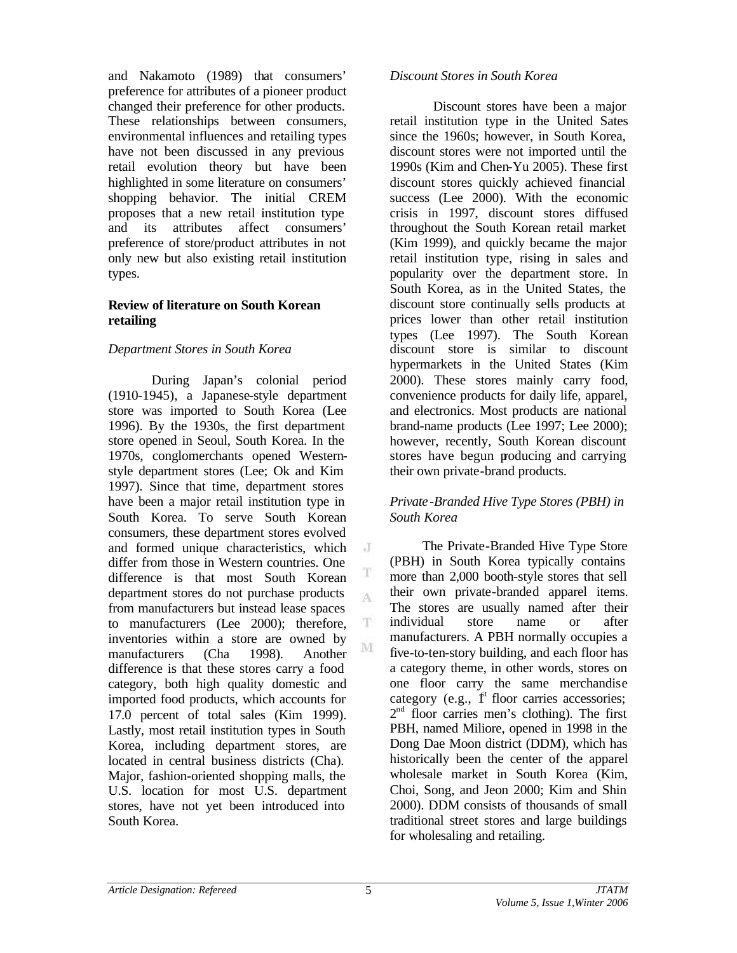and Nakamoto (1989) that consumers' preference for attributes of a pioneer product changed their preference for other products. These relationships between consumers, environmental influences and retailing types have not been discussed in any previous retail evolution theory but have been highlighted in some literature on consumers' shopping behavior. The initial CREM proposes that a new retail institution type and its attributes affect consumers' preference of store/product attributes in not only new but also existing retail institution types.

#### **Review of literature on South Korean retailing**

## *Department Stores in South Korea*

During Japan's colonial period (1910-1945), a Japanese-style department store was imported to South Korea (Lee 1996). By the 1930s, the first department store opened in Seoul, South Korea. In the 1970s, conglomerchants opened Westernstyle department stores (Lee; Ok and Kim 1997). Since that time, department stores have been a major retail institution type in South Korea. To serve South Korean consumers, these department stores evolved and formed unique characteristics, which differ from those in Western countries. One difference is that most South Korean department stores do not purchase products from manufacturers but instead lease spaces to manufacturers (Lee 2000); therefore, inventories within a store are owned by manufacturers (Cha 1998). Another difference is that these stores carry a food category, both high quality domestic and imported food products, which accounts for 17.0 percent of total sales (Kim 1999). Lastly, most retail institution types in South Korea, including department stores, are located in central business districts (Cha). Major, fashion-oriented shopping malls, the U.S. location for most U.S. department stores, have not yet been introduced into South Korea.

#### *Discount Stores in South Korea*

Discount stores have been a major retail institution type in the United Sates since the 1960s; however, in South Korea, discount stores were not imported until the 1990s (Kim and Chen-Yu 2005). These first discount stores quickly achieved financial success (Lee 2000). With the economic crisis in 1997, discount stores diffused throughout the South Korean retail market (Kim 1999), and quickly became the major retail institution type, rising in sales and popularity over the department store. In South Korea, as in the United States, the discount store continually sells products at prices lower than other retail institution types (Lee 1997). The South Korean discount store is similar to discount hypermarkets in the United States (Kim 2000). These stores mainly carry food, convenience products for daily life, apparel, and electronics. Most products are national brand-name products (Lee 1997; Lee 2000); however, recently, South Korean discount stores have begun producing and carrying their own private-brand products.

#### *Private -Branded Hive Type Stores (PBH) in South Korea*

The Private-Branded Hive Type Store (PBH) in South Korea typically contains more than 2,000 booth-style stores that sell their own private-branded apparel items. The stores are usually named after their individual store name or after manufacturers. A PBH normally occupies a five-to-ten-story building, and each floor has a category theme, in other words, stores on one floor carry the same merchandise category (e.g.,  $\hat{I}^t$  floor carries accessories; 2<sup>nd</sup> floor carries men's clothing). The first PBH, named Miliore, opened in 1998 in the Dong Dae Moon district (DDM), which has historically been the center of the apparel wholesale market in South Korea (Kim, Choi, Song, and Jeon 2000; Kim and Shin 2000). DDM consists of thousands of small traditional street stores and large buildings for wholesaling and retailing.

 $\cdot$  J

T A

T

M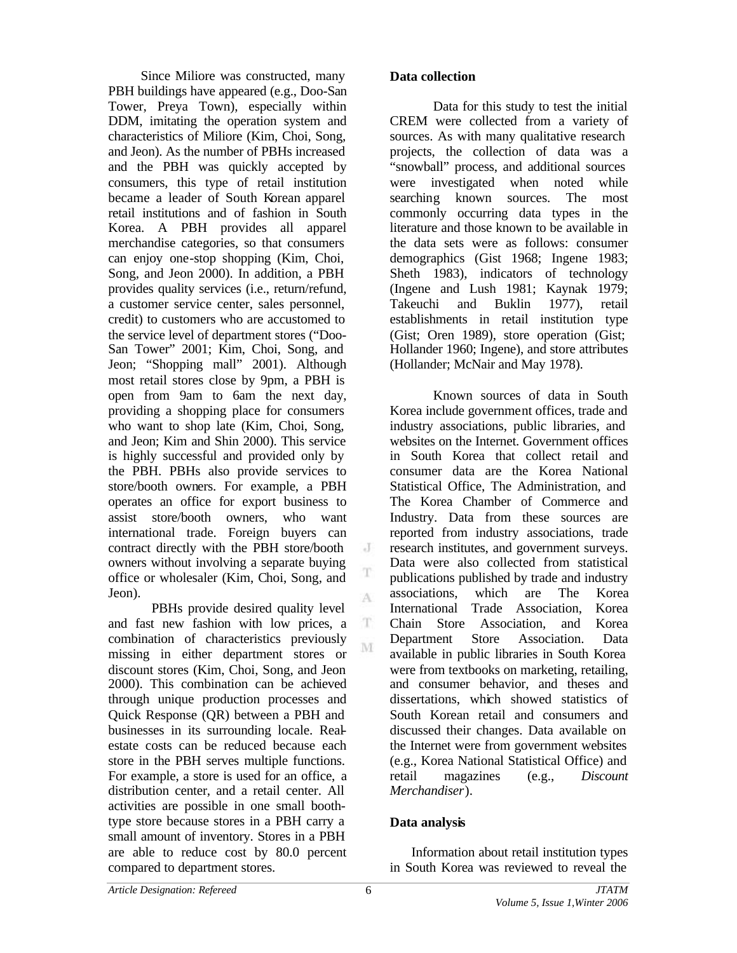Since Miliore was constructed, many PBH buildings have appeared (e.g., Doo-San Tower, Preya Town), especially within DDM, imitating the operation system and characteristics of Miliore (Kim, Choi, Song, and Jeon). As the number of PBHs increased and the PBH was quickly accepted by consumers, this type of retail institution became a leader of South Korean apparel retail institutions and of fashion in South Korea. A PBH provides all apparel merchandise categories, so that consumers can enjoy one-stop shopping (Kim, Choi, Song, and Jeon 2000). In addition, a PBH provides quality services (i.e., return/refund, a customer service center, sales personnel, credit) to customers who are accustomed to the service level of department stores ("Doo-San Tower" 2001; Kim, Choi, Song, and Jeon; "Shopping mall" 2001). Although most retail stores close by 9pm, a PBH is open from 9am to 6am the next day, providing a shopping place for consumers who want to shop late (Kim, Choi, Song, and Jeon; Kim and Shin 2000). This service is highly successful and provided only by the PBH. PBHs also provide services to store/booth owners. For example, a PBH operates an office for export business to assist store/booth owners, who want international trade. Foreign buyers can contract directly with the PBH store/booth owners without involving a separate buying office or wholesaler (Kim, Choi, Song, and Jeon).

PBHs provide desired quality level and fast new fashion with low prices, a combination of characteristics previously missing in either department stores or discount stores (Kim, Choi, Song, and Jeon 2000). This combination can be achieved through unique production processes and Quick Response (QR) between a PBH and businesses in its surrounding locale. Realestate costs can be reduced because each store in the PBH serves multiple functions. For example, a store is used for an office, a distribution center, and a retail center. All activities are possible in one small boothtype store because stores in a PBH carry a small amount of inventory. Stores in a PBH are able to reduce cost by 80.0 percent compared to department stores.

#### **Data collection**

Data for this study to test the initial CREM were collected from a variety of sources. As with many qualitative research projects, the collection of data was a "snowball" process, and additional sources were investigated when noted while searching known sources. The most commonly occurring data types in the literature and those known to be available in the data sets were as follows: consumer demographics (Gist 1968; Ingene 1983; Sheth 1983), indicators of technology (Ingene and Lush 1981; Kaynak 1979; Takeuchi and Buklin 1977), retail establishments in retail institution type (Gist; Oren 1989), store operation (Gist; Hollander 1960; Ingene), and store attributes (Hollander; McNair and May 1978).

Known sources of data in South Korea include government offices, trade and industry associations, public libraries, and websites on the Internet. Government offices in South Korea that collect retail and consumer data are the Korea National Statistical Office, The Administration, and The Korea Chamber of Commerce and Industry. Data from these sources are reported from industry associations, trade research institutes, and government surveys. Data were also collected from statistical publications published by trade and industry associations, which are The Korea International Trade Association, Korea Chain Store Association, and Korea Department Store Association. Data available in public libraries in South Korea were from textbooks on marketing, retailing, and consumer behavior, and theses and dissertations, which showed statistics of South Korean retail and consumers and discussed their changes. Data available on the Internet were from government websites (e.g., Korea National Statistical Office) and retail magazines (e.g., *Discount Merchandiser*).

## **Data analysis**

Information about retail institution types in South Korea was reviewed to reveal the

J

T

A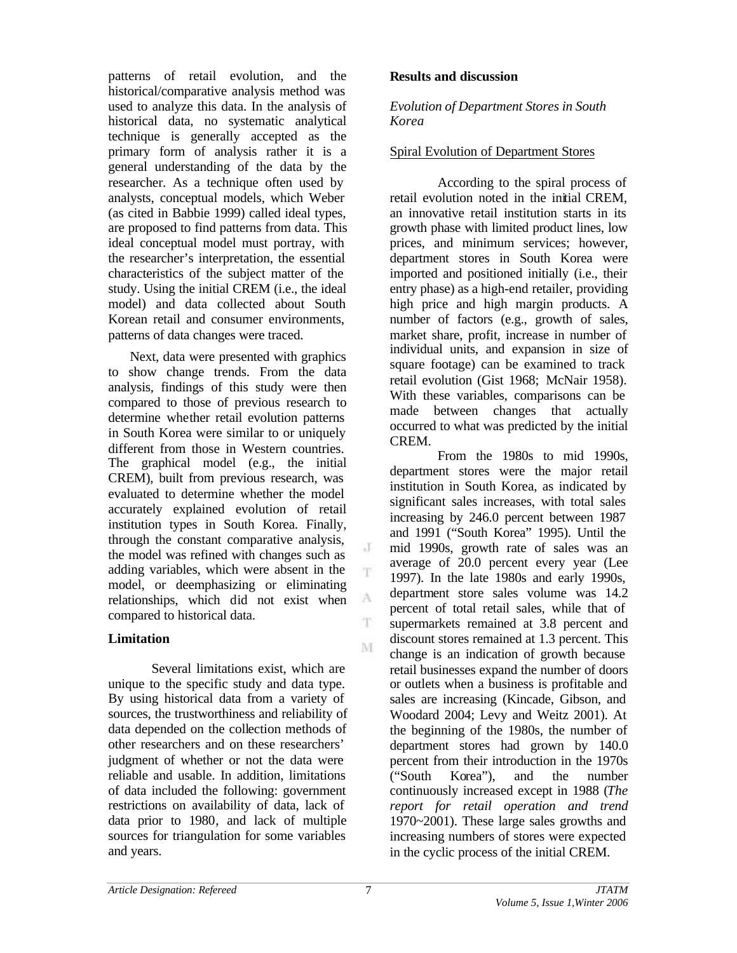patterns of retail evolution, and the historical/comparative analysis method was used to analyze this data. In the analysis of historical data, no systematic analytical technique is generally accepted as the primary form of analysis rather it is a general understanding of the data by the researcher. As a technique often used by analysts, conceptual models, which Weber (as cited in Babbie 1999) called ideal types, are proposed to find patterns from data. This ideal conceptual model must portray, with the researcher's interpretation, the essential characteristics of the subject matter of the study. Using the initial CREM (i.e., the ideal model) and data collected about South Korean retail and consumer environments, patterns of data changes were traced.

Next, data were presented with graphics to show change trends. From the data analysis, findings of this study were then compared to those of previous research to determine whether retail evolution patterns in South Korea were similar to or uniquely different from those in Western countries. The graphical model (e.g., the initial CREM), built from previous research, was evaluated to determine whether the model accurately explained evolution of retail institution types in South Korea. Finally, through the constant comparative analysis, the model was refined with changes such as adding variables, which were absent in the model, or deemphasizing or eliminating relationships, which did not exist when compared to historical data.

## **Limitation**

Several limitations exist, which are unique to the specific study and data type. By using historical data from a variety of sources, the trustworthiness and reliability of data depended on the collection methods of other researchers and on these researchers' judgment of whether or not the data were reliable and usable. In addition, limitations of data included the following: government restrictions on availability of data, lack of data prior to 1980, and lack of multiple sources for triangulation for some variables and years.

#### **Results and discussion**

*Evolution of Department Stores in South Korea*

## Spiral Evolution of Department Stores

According to the spiral process of retail evolution noted in the initial CREM, an innovative retail institution starts in its growth phase with limited product lines, low prices, and minimum services; however, department stores in South Korea were imported and positioned initially (i.e., their entry phase) as a high-end retailer, providing high price and high margin products. A number of factors (e.g., growth of sales, market share, profit, increase in number of individual units, and expansion in size of square footage) can be examined to track retail evolution (Gist 1968; McNair 1958). With these variables, comparisons can be made between changes that actually occurred to what was predicted by the initial CREM.

From the 1980s to mid 1990s, department stores were the major retail institution in South Korea, as indicated by significant sales increases, with total sales increasing by 246.0 percent between 1987 and 1991 ("South Korea" 1995). Until the mid 1990s, growth rate of sales was an average of 20.0 percent every year (Lee 1997). In the late 1980s and early 1990s, department store sales volume was 14.2 percent of total retail sales, while that of supermarkets remained at 3.8 percent and discount stores remained at 1.3 percent. This change is an indication of growth because retail businesses expand the number of doors or outlets when a business is profitable and sales are increasing (Kincade, Gibson, and Woodard 2004; Levy and Weitz 2001). At the beginning of the 1980s, the number of department stores had grown by 140.0 percent from their introduction in the 1970s ("South Korea"), and the number continuously increased except in 1988 (*The report for retail operation and trend* 1970~2001). These large sales growths and increasing numbers of stores were expected in the cyclic process of the initial CREM.

 $\cdot$ T

T.

A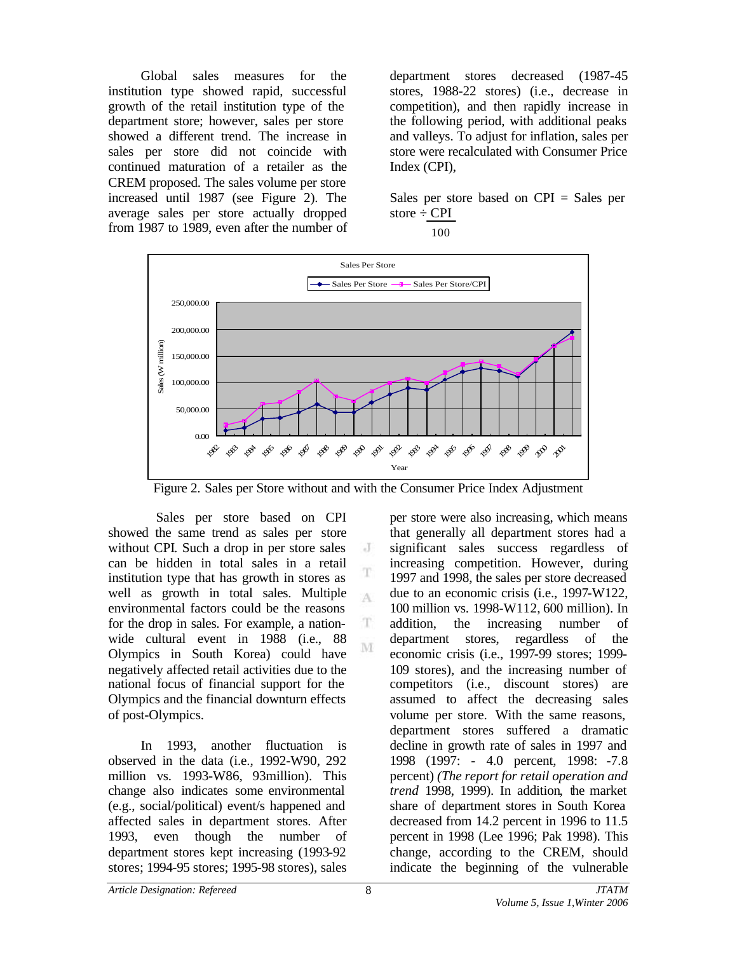Global sales measures for the institution type showed rapid, successful growth of the retail institution type of the department store; however, sales per store showed a different trend. The increase in sales per store did not coincide with continued maturation of a retailer as the CREM proposed. The sales volume per store increased until 1987 (see Figure 2). The average sales per store actually dropped from 1987 to 1989, even after the number of department stores decreased (1987-45 stores, 1988-22 stores) (i.e., decrease in competition), and then rapidly increase in the following period, with additional peaks and valleys. To adjust for inflation, sales per store were recalculated with Consumer Price Index (CPI),

Sales per store based on CPI = Sales per store  $\div$  CPI





Figure 2. Sales per Store without and with the Consumer Price Index Adjustment

J

T

A

T M

Sales per store based on CPI showed the same trend as sales per store without CPI. Such a drop in per store sales can be hidden in total sales in a retail institution type that has growth in stores as well as growth in total sales. Multiple environmental factors could be the reasons for the drop in sales. For example, a nationwide cultural event in 1988 (i.e., 88 Olympics in South Korea) could have negatively affected retail activities due to the national focus of financial support for the Olympics and the financial downturn effects of post-Olympics.

In 1993, another fluctuation is observed in the data (i.e., 1992-W90, 292 million vs. 1993-W86, 93million). This change also indicates some environmental (e.g., social/political) event/s happened and affected sales in department stores. After 1993, even though the number of department stores kept increasing (1993-92 stores; 1994-95 stores; 1995-98 stores), sales

per store were also increasing, which means that generally all department stores had a significant sales success regardless of increasing competition. However, during 1997 and 1998, the sales per store decreased due to an economic crisis (i.e., 1997-W122, 100 million vs. 1998-W112, 600 million). In addition, the increasing number of department stores, regardless of the economic crisis (i.e., 1997-99 stores; 1999- 109 stores), and the increasing number of competitors (i.e., discount stores) are assumed to affect the decreasing sales volume per store. With the same reasons, department stores suffered a dramatic decline in growth rate of sales in 1997 and 1998 (1997: - 4.0 percent, 1998: -7.8 percent) *(The report for retail operation and trend* 1998, 1999). In addition, the market share of department stores in South Korea decreased from 14.2 percent in 1996 to 11.5 percent in 1998 (Lee 1996; Pak 1998). This change, according to the CREM, should indicate the beginning of the vulnerable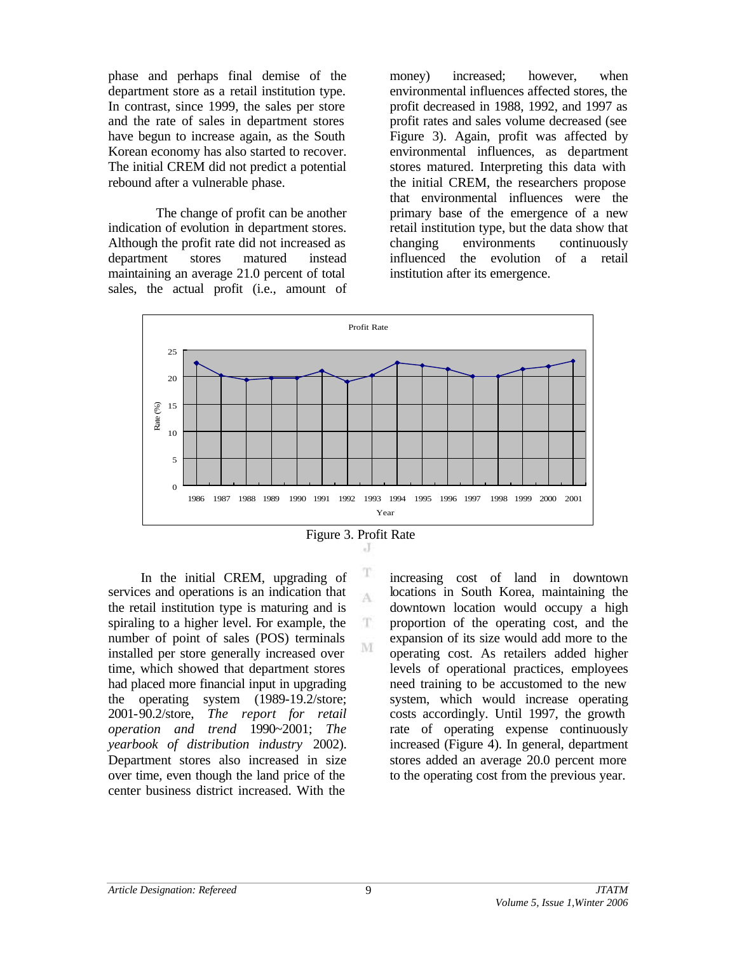phase and perhaps final demise of the department store as a retail institution type. In contrast, since 1999, the sales per store and the rate of sales in department stores have begun to increase again, as the South Korean economy has also started to recover. The initial CREM did not predict a potential rebound after a vulnerable phase.

The change of profit can be another indication of evolution in department stores. Although the profit rate did not increased as department stores matured instead maintaining an average 21.0 percent of total sales, the actual profit (i.e., amount of money) increased; however, when environmental influences affected stores, the profit decreased in 1988, 1992, and 1997 as profit rates and sales volume decreased (see Figure 3). Again, profit was affected by environmental influences, as department stores matured. Interpreting this data with the initial CREM, the researchers propose that environmental influences were the primary base of the emergence of a new retail institution type, but the data show that changing environments continuously influenced the evolution of a retail institution after its emergence.





T Ā

 $\mathbf T$ M

In the initial CREM, upgrading of services and operations is an indication that the retail institution type is maturing and is spiraling to a higher level. For example, the number of point of sales (POS) terminals installed per store generally increased over time, which showed that department stores had placed more financial input in upgrading the operating system (1989-19.2/store; 2001-90.2/store, *The report for retail operation and trend* 1990~2001; *The yearbook of distribution industry* 2002). Department stores also increased in size over time, even though the land price of the center business district increased. With the

increasing cost of land in downtown locations in South Korea, maintaining the downtown location would occupy a high proportion of the operating cost, and the expansion of its size would add more to the operating cost. As retailers added higher levels of operational practices, employees need training to be accustomed to the new system, which would increase operating costs accordingly. Until 1997, the growth rate of operating expense continuously increased (Figure 4). In general, department stores added an average 20.0 percent more to the operating cost from the previous year.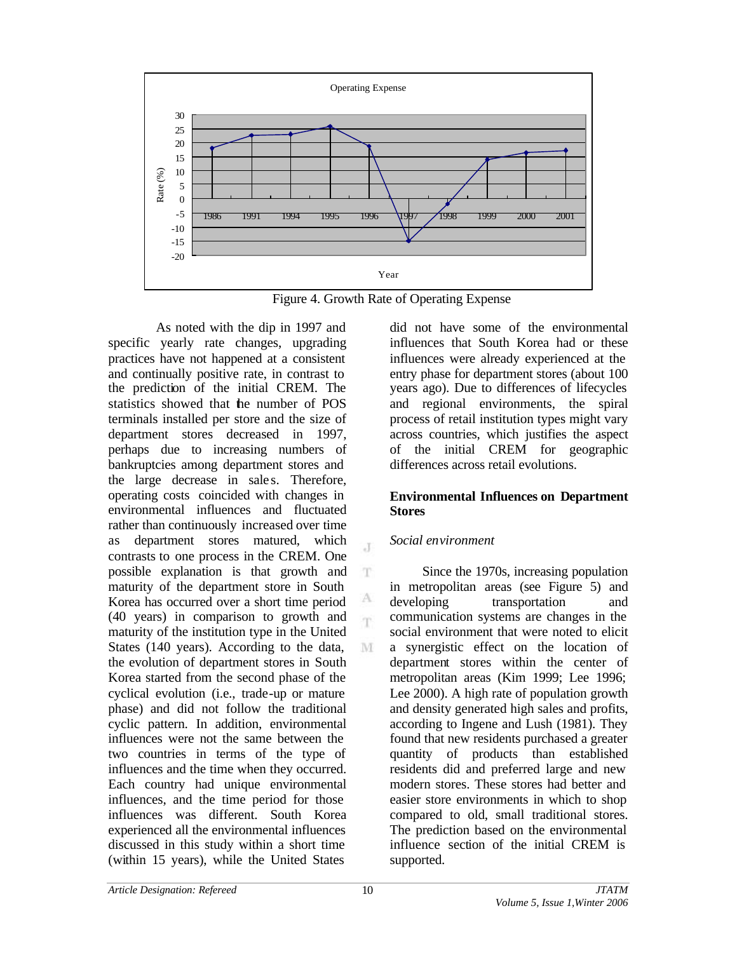

Figure 4. Growth Rate of Operating Expense

As noted with the dip in 1997 and specific yearly rate changes, upgrading practices have not happened at a consistent and continually positive rate, in contrast to the prediction of the initial CREM. The statistics showed that the number of POS terminals installed per store and the size of department stores decreased in 1997, perhaps due to increasing numbers of bankruptcies among department stores and the large decrease in sale s. Therefore, operating costs coincided with changes in environmental influences and fluctuated rather than continuously increased over time as department stores matured, which contrasts to one process in the CREM. One possible explanation is that growth and maturity of the department store in South Korea has occurred over a short time period (40 years) in comparison to growth and maturity of the institution type in the United States (140 years). According to the data, the evolution of department stores in South Korea started from the second phase of the cyclical evolution (i.e., trade-up or mature phase) and did not follow the traditional cyclic pattern. In addition, environmental influences were not the same between the two countries in terms of the type of influences and the time when they occurred. Each country had unique environmental influences, and the time period for those influences was different. South Korea experienced all the environmental influences discussed in this study within a short time (within 15 years), while the United States

did not have some of the environmental influences that South Korea had or these influences were already experienced at the entry phase for department stores (about 100 years ago). Due to differences of lifecycles and regional environments, the spiral process of retail institution types might vary across countries, which justifies the aspect of the initial CREM for geographic differences across retail evolutions.

## **Environmental Influences on Department Stores**

# *Social environment*

Since the 1970s, increasing population in metropolitan areas (see Figure 5) and developing transportation and communication systems are changes in the social environment that were noted to elicit a synergistic effect on the location of department stores within the center of metropolitan areas (Kim 1999; Lee 1996; Lee 2000). A high rate of population growth and density generated high sales and profits, according to Ingene and Lush (1981). They found that new residents purchased a greater quantity of products than established residents did and preferred large and new modern stores. These stores had better and easier store environments in which to shop compared to old, small traditional stores. The prediction based on the environmental influence section of the initial CREM is supported.

 $\mathbf{J}$ 

m.

A 'n

M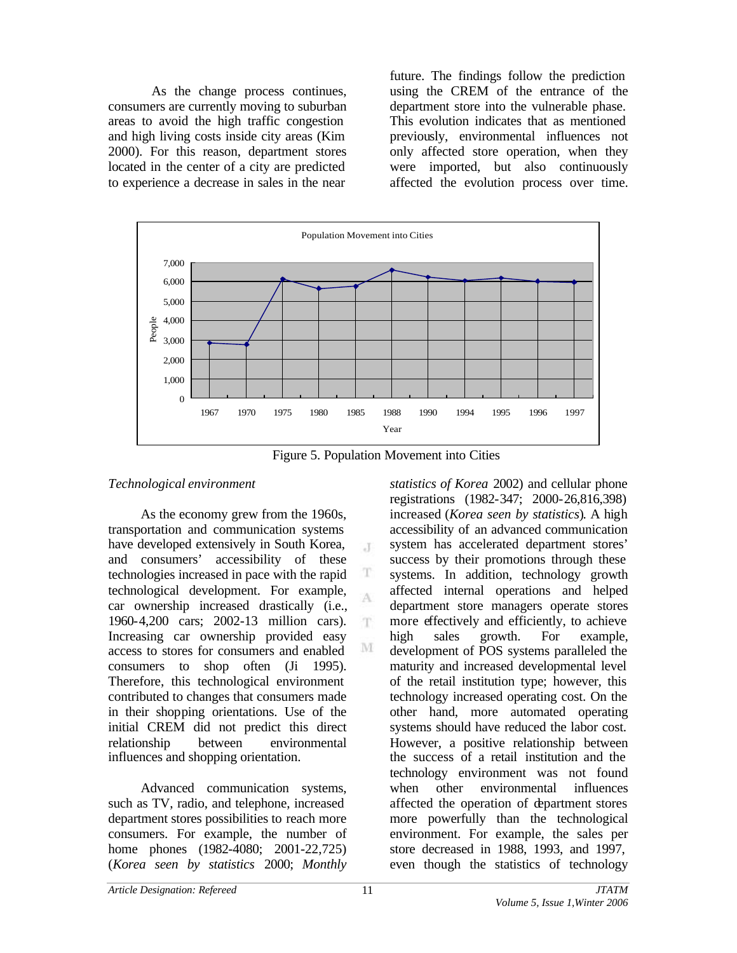As the change process continues, consumers are currently moving to suburban areas to avoid the high traffic congestion and high living costs inside city areas (Kim 2000). For this reason, department stores located in the center of a city are predicted to experience a decrease in sales in the near

future. The findings follow the prediction using the CREM of the entrance of the department store into the vulnerable phase. This evolution indicates that as mentioned previously, environmental influences not only affected store operation, when they were imported, but also continuously affected the evolution process over time.



Figure 5. Population Movement into Cities

 $\cdot$ T

T A

 $\mathbf{T}$ 

M

## *Technological environment*

As the economy grew from the 1960s, transportation and communication systems have developed extensively in South Korea, and consumers' accessibility of these technologies increased in pace with the rapid technological development. For example, car ownership increased drastically (i.e., 1960-4,200 cars; 2002-13 million cars). Increasing car ownership provided easy access to stores for consumers and enabled consumers to shop often (Ji 1995). Therefore, this technological environment contributed to changes that consumers made in their shopping orientations. Use of the initial CREM did not predict this direct relationship between environmental influences and shopping orientation.

Advanced communication systems, such as TV, radio, and telephone, increased department stores possibilities to reach more consumers. For example, the number of home phones (1982-4080; 2001-22,725) (*Korea seen by statistics* 2000; *Monthly* 

*statistics of Korea* 2002) and cellular phone registrations (1982-347; 2000-26,816,398) increased (*Korea seen by statistics*). A high accessibility of an advanced communication system has accelerated department stores' success by their promotions through these systems. In addition, technology growth affected internal operations and helped department store managers operate stores more effectively and efficiently, to achieve high sales growth. For example, development of POS systems paralleled the maturity and increased developmental level of the retail institution type; however, this technology increased operating cost. On the other hand, more automated operating systems should have reduced the labor cost. However, a positive relationship between the success of a retail institution and the technology environment was not found when other environmental influences affected the operation of department stores more powerfully than the technological environment. For example, the sales per store decreased in 1988, 1993, and 1997, even though the statistics of technology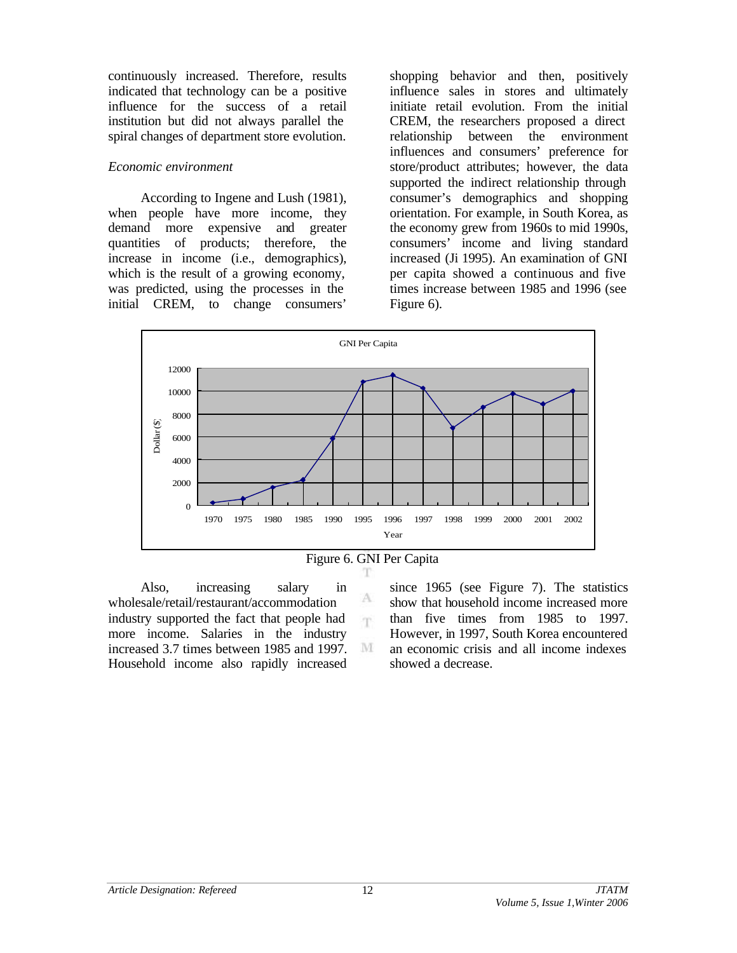continuously increased. Therefore, results indicated that technology can be a positive influence for the success of a retail institution but did not always parallel the spiral changes of department store evolution.

### *Economic environment*

According to Ingene and Lush (1981), when people have more income, they demand more expensive and greater quantities of products; therefore, the increase in income (i.e., demographics), which is the result of a growing economy, was predicted, using the processes in the initial CREM, to change consumers'

shopping behavior and then, positively influence sales in stores and ultimately initiate retail evolution. From the initial CREM, the researchers proposed a direct relationship between the environment influences and consumers' preference for store/product attributes; however, the data supported the indirect relationship through consumer's demographics and shopping orientation. For example, in South Korea, as the economy grew from 1960s to mid 1990s, consumers' income and living standard increased (Ji 1995). An examination of GNI per capita showed a continuous and five times increase between 1985 and 1996 (see Figure 6).





A m.

M

Also, increasing salary in wholesale/retail/restaurant/accommodation industry supported the fact that people had more income. Salaries in the industry increased 3.7 times between 1985 and 1997. Household income also rapidly increased since 1965 (see Figure 7). The statistics show that household income increased more than five times from 1985 to 1997. However, in 1997, South Korea encountered an economic crisis and all income indexes showed a decrease.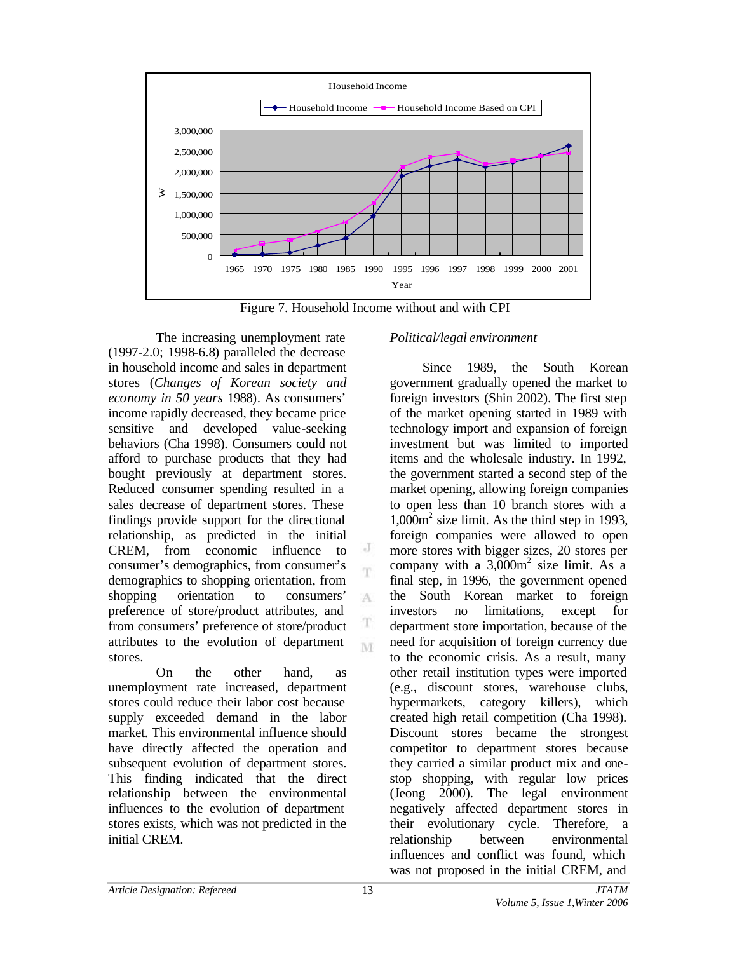

Figure 7. Household Income without and with CPI

J Υŕ

A

T M

The increasing unemployment rate (1997-2.0; 1998-6.8) paralleled the decrease in household income and sales in department stores (*Changes of Korean society and economy in 50 years* 1988). As consumers' income rapidly decreased, they became price sensitive and developed value-seeking behaviors (Cha 1998). Consumers could not afford to purchase products that they had bought previously at department stores. Reduced consumer spending resulted in a sales decrease of department stores. These findings provide support for the directional relationship, as predicted in the initial CREM, from economic influence to consumer's demographics, from consumer's demographics to shopping orientation, from shopping orientation to consumers' preference of store/product attributes, and from consumers' preference of store/product attributes to the evolution of department stores.

On the other hand, as unemployment rate increased, department stores could reduce their labor cost because supply exceeded demand in the labor market. This environmental influence should have directly affected the operation and subsequent evolution of department stores. This finding indicated that the direct relationship between the environmental influences to the evolution of department stores exists, which was not predicted in the initial CREM.

# *Political/legal environment*

Since 1989, the South Korean government gradually opened the market to foreign investors (Shin 2002). The first step of the market opening started in 1989 with technology import and expansion of foreign investment but was limited to imported items and the wholesale industry. In 1992, the government started a second step of the market opening, allowing foreign companies to open less than 10 branch stores with a 1,000m<sup>2</sup> size limit. As the third step in 1993, foreign companies were allowed to open more stores with bigger sizes, 20 stores per company with a  $3,000$ m<sup>2</sup> size limit. As a final step, in 1996, the government opened the South Korean market to foreign investors no limitations, except for department store importation, because of the need for acquisition of foreign currency due to the economic crisis. As a result, many other retail institution types were imported (e.g., discount stores, warehouse clubs, hypermarkets, category killers), which created high retail competition (Cha 1998). Discount stores became the strongest competitor to department stores because they carried a similar product mix and onestop shopping, with regular low prices (Jeong 2000). The legal environment negatively affected department stores in their evolutionary cycle. Therefore, a relationship between environmental influences and conflict was found, which was not proposed in the initial CREM, and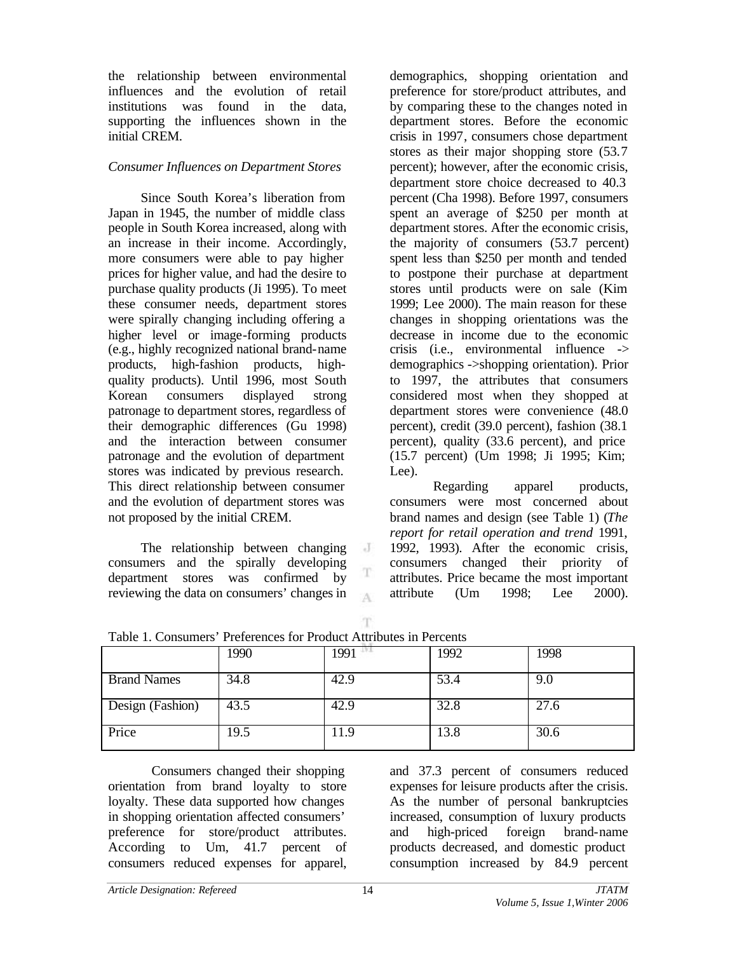the relationship between environmental influences and the evolution of retail institutions was found in the data, supporting the influences shown in the initial CREM.

#### *Consumer Influences on Department Stores*

Since South Korea's liberation from Japan in 1945, the number of middle class people in South Korea increased, along with an increase in their income. Accordingly, more consumers were able to pay higher prices for higher value, and had the desire to purchase quality products (Ji 1995). To meet these consumer needs, department stores were spirally changing including offering a higher level or image-forming products (e.g., highly recognized national brand-name products, high-fashion products, highquality products). Until 1996, most South Korean consumers displayed strong patronage to department stores, regardless of their demographic differences (Gu 1998) and the interaction between consumer patronage and the evolution of department stores was indicated by previous research. This direct relationship between consumer and the evolution of department stores was not proposed by the initial CREM.

The relationship between changing consumers and the spirally developing department stores was confirmed by reviewing the data on consumers' changes in

demographics, shopping orientation and preference for store/product attributes, and by comparing these to the changes noted in department stores. Before the economic crisis in 1997, consumers chose department stores as their major shopping store (53.7 percent); however, after the economic crisis, department store choice decreased to 40.3 percent (Cha 1998). Before 1997, consumers spent an average of \$250 per month at department stores. After the economic crisis, the majority of consumers (53.7 percent) spent less than \$250 per month and tended to postpone their purchase at department stores until products were on sale (Kim 1999; Lee 2000). The main reason for these changes in shopping orientations was the decrease in income due to the economic crisis (i.e., environmental influence -> demographics ->shopping orientation). Prior to 1997, the attributes that consumers considered most when they shopped at department stores were convenience (48.0 percent), credit (39.0 percent), fashion (38.1 percent), quality (33.6 percent), and price (15.7 percent) (Um 1998; Ji 1995; Kim; Lee).

Regarding apparel products, consumers were most concerned about brand names and design (see Table 1) (*The report for retail operation and trend* 1991, 1992, 1993). After the economic crisis, consumers changed their priority of attributes. Price became the most important attribute (Um 1998; Lee 2000).

| Tuble 1. Companions Trendictions for Trought Authorities in Terrents |      |      |      |      |
|----------------------------------------------------------------------|------|------|------|------|
|                                                                      | 1990 | 1991 | 1992 | 1998 |
| <b>Brand Names</b>                                                   | 34.8 | 42.9 | 53.4 | 9.0  |
| Design (Fashion)                                                     | 43.5 | 42.9 | 32.8 | 27.6 |
| Price                                                                | 19.5 | 11.9 | 13.8 | 30.6 |

 $\cdot$ 

T  $\Lambda$ 

m

Table 1. Consumers' Preferences for Product Attributes in Percents

Consumers changed their shopping orientation from brand loyalty to store loyalty. These data supported how changes in shopping orientation affected consumers' preference for store/product attributes. According to Um, 41.7 percent of consumers reduced expenses for apparel,

and 37.3 percent of consumers reduced expenses for leisure products after the crisis. As the number of personal bankruptcies increased, consumption of luxury products and high-priced foreign brand-name products decreased, and domestic product consumption increased by 84.9 percent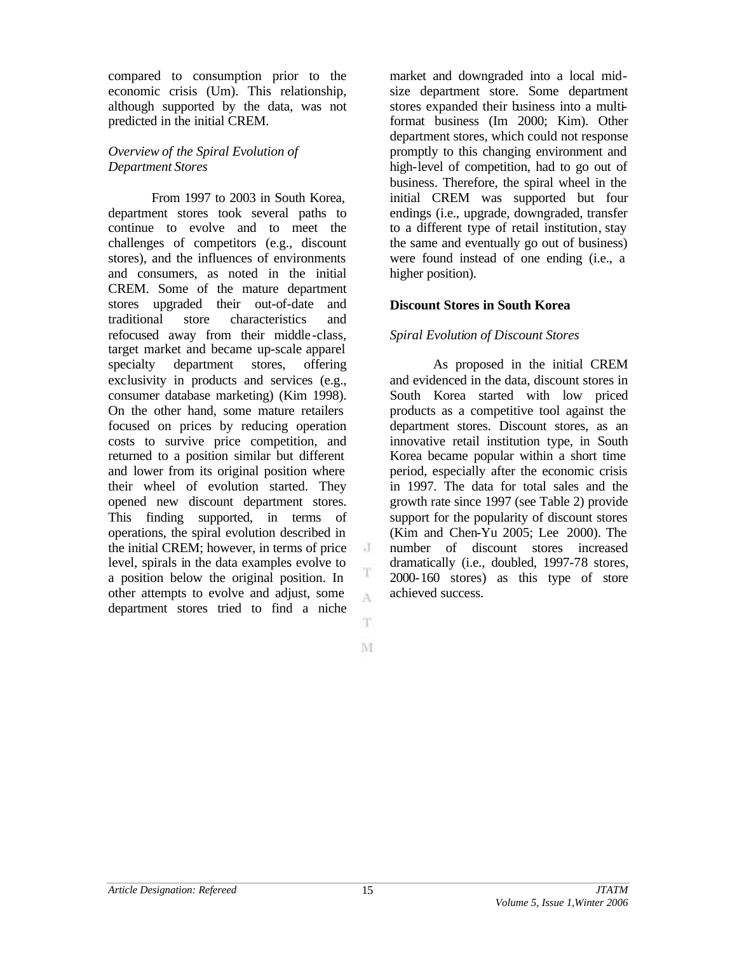compared to consumption prior to the economic crisis (Um). This relationship, although supported by the data, was not predicted in the initial CREM.

### *Overview of the Spiral Evolution of Department Stores*

From 1997 to 2003 in South Korea, department stores took several paths to continue to evolve and to meet the challenges of competitors (e.g., discount stores), and the influences of environments and consumers, as noted in the initial CREM. Some of the mature department stores upgraded their out-of-date and traditional store characteristics and refocused away from their middle -class, target market and became up-scale apparel specialty department stores, offering exclusivity in products and services (e.g., consumer database marketing) (Kim 1998). On the other hand, some mature retailers focused on prices by reducing operation costs to survive price competition, and returned to a position similar but different and lower from its original position where their wheel of evolution started. They opened new discount department stores. This finding supported, in terms of operations, the spiral evolution described in the initial CREM; however, in terms of price level, spirals in the data examples evolve to a position below the original position. In other attempts to evolve and adjust, some department stores tried to find a niche

market and downgraded into a local midsize department store. Some department stores expanded their business into a multiformat business (Im 2000; Kim). Other department stores, which could not response promptly to this changing environment and high-level of competition, had to go out of business. Therefore, the spiral wheel in the initial CREM was supported but four endings (i.e., upgrade, downgraded, transfer to a different type of retail institution, stay the same and eventually go out of business) were found instead of one ending (i.e., a higher position).

## **Discount Stores in South Korea**

## *Spiral Evolution of Discount Stores*

As proposed in the initial CREM and evidenced in the data, discount stores in South Korea started with low priced products as a competitive tool against the department stores. Discount stores, as an innovative retail institution type, in South Korea became popular within a short time period, especially after the economic crisis in 1997. The data for total sales and the growth rate since 1997 (see Table 2) provide support for the popularity of discount stores (Kim and Chen-Yu 2005; Lee 2000). The number of discount stores increased dramatically (i.e., doubled, 1997-78 stores, 2000-160 stores) as this type of store achieved success.

J

T A

T.

M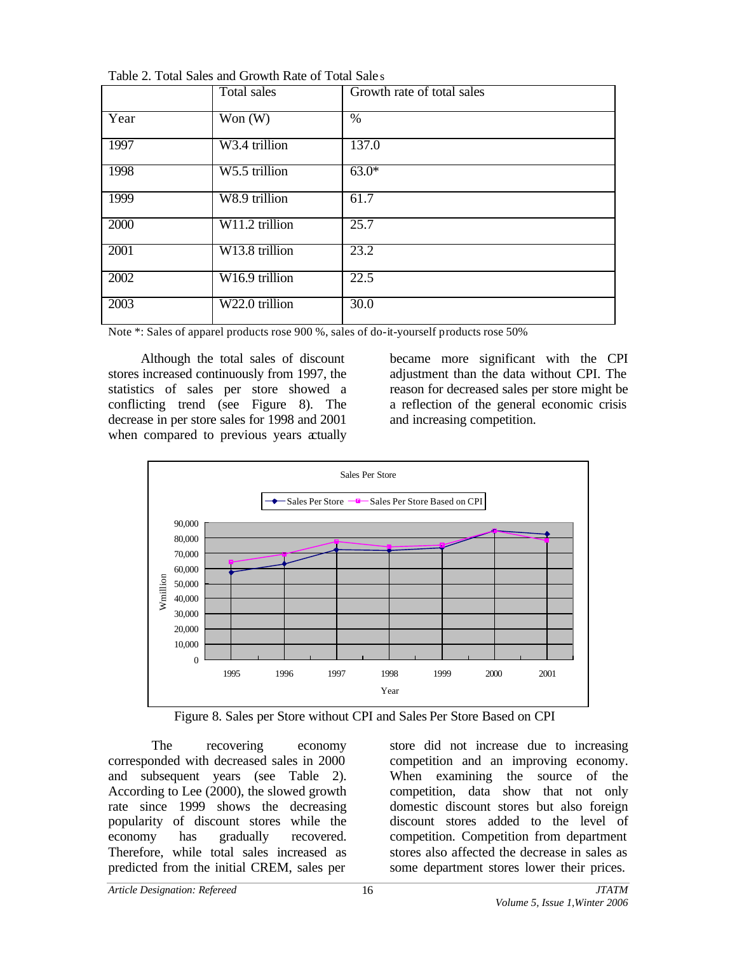|      | Total sales    | Growth rate of total sales |
|------|----------------|----------------------------|
| Year | Won $(W)$      | $\%$                       |
| 1997 | W3.4 trillion  | 137.0                      |
| 1998 | W5.5 trillion  | $63.0*$                    |
| 1999 | W8.9 trillion  | 61.7                       |
| 2000 | W11.2 trillion | 25.7                       |
| 2001 | W13.8 trillion | 23.2                       |
| 2002 | W16.9 trillion | 22.5                       |
| 2003 | W22.0 trillion | 30.0                       |

Table 2. Total Sales and Growth Rate of Total Sale s

Note \*: Sales of apparel products rose 900 %, sales of do-it-yourself products rose 50%

Although the total sales of discount stores increased continuously from 1997, the statistics of sales per store showed a conflicting trend (see Figure 8). The decrease in per store sales for 1998 and 2001 when compared to previous years actually

became more significant with the CPI adjustment than the data without CPI. The reason for decreased sales per store might be a reflection of the general economic crisis and increasing competition.



Figure 8. Sales per Store without CPI and Sales Per Store Based on CPI

The recovering economy corresponded with decreased sales in 2000 and subsequent years (see Table 2). According to Lee (2000), the slowed growth rate since 1999 shows the decreasing popularity of discount stores while the economy has gradually recovered. Therefore, while total sales increased as predicted from the initial CREM, sales per

store did not increase due to increasing competition and an improving economy. When examining the source of the competition, data show that not only domestic discount stores but also foreign discount stores added to the level of competition. Competition from department stores also affected the decrease in sales as some department stores lower their prices.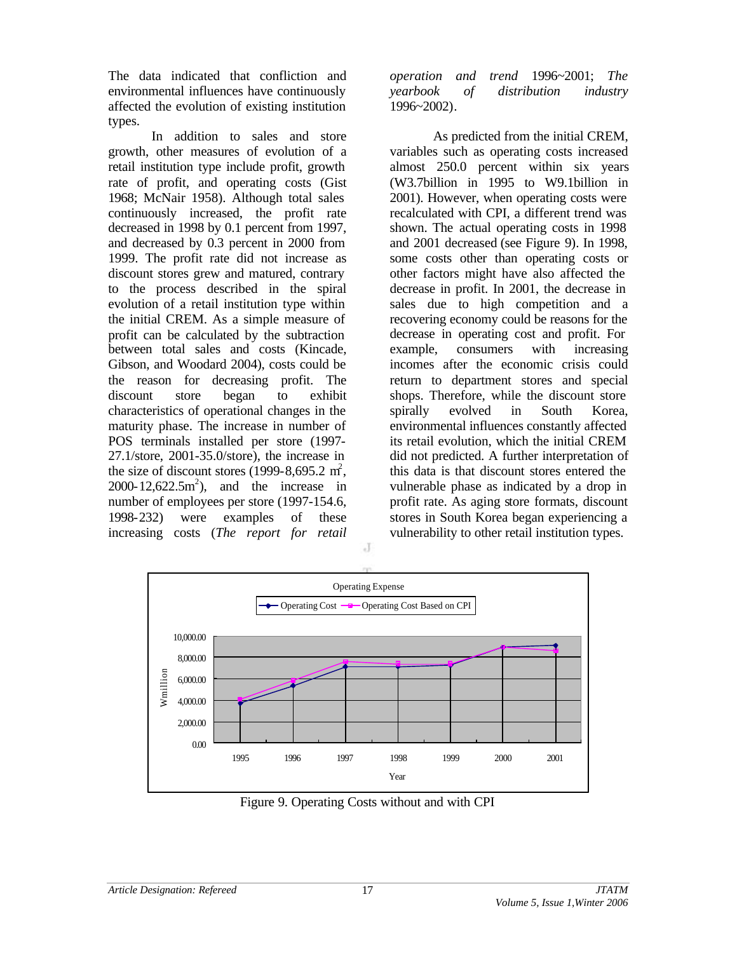The data indicated that confliction and environmental influences have continuously affected the evolution of existing institution types.

In addition to sales and store growth, other measures of evolution of a retail institution type include profit, growth rate of profit, and operating costs (Gist 1968; McNair 1958). Although total sales continuously increased, the profit rate decreased in 1998 by 0.1 percent from 1997, and decreased by 0.3 percent in 2000 from 1999. The profit rate did not increase as discount stores grew and matured, contrary to the process described in the spiral evolution of a retail institution type within the initial CREM. As a simple measure of profit can be calculated by the subtraction between total sales and costs (Kincade, Gibson, and Woodard 2004), costs could be the reason for decreasing profit. The discount store began to exhibit characteristics of operational changes in the maturity phase. The increase in number of POS terminals installed per store (1997- 27.1/store, 2001-35.0/store), the increase in the size of discount stores (1999-8,695.2 m<sup>2</sup>,  $2000 - 12{,}622.5m^2$ , and the increase in number of employees per store (1997-154.6, 1998-232) were examples of these increasing costs (*The report for retail*

*operation and trend* 1996~2001; *The yearbook of distribution industry* 1996~2002).

As predicted from the initial CREM, variables such as operating costs increased almost 250.0 percent within six years (W3.7billion in 1995 to W9.1billion in 2001). However, when operating costs were recalculated with CPI, a different trend was shown. The actual operating costs in 1998 and 2001 decreased (see Figure 9). In 1998, some costs other than operating costs or other factors might have also affected the decrease in profit. In 2001, the decrease in sales due to high competition and a recovering economy could be reasons for the decrease in operating cost and profit. For example, consumers with increasing incomes after the economic crisis could return to department stores and special shops. Therefore, while the discount store spirally evolved in South Korea, environmental influences constantly affected its retail evolution, which the initial CREM did not predicted. A further interpretation of this data is that discount stores entered the vulnerable phase as indicated by a drop in profit rate. As aging store formats, discount stores in South Korea began experiencing a vulnerability to other retail institution types.



J

Figure 9. Operating Costs without and with CPI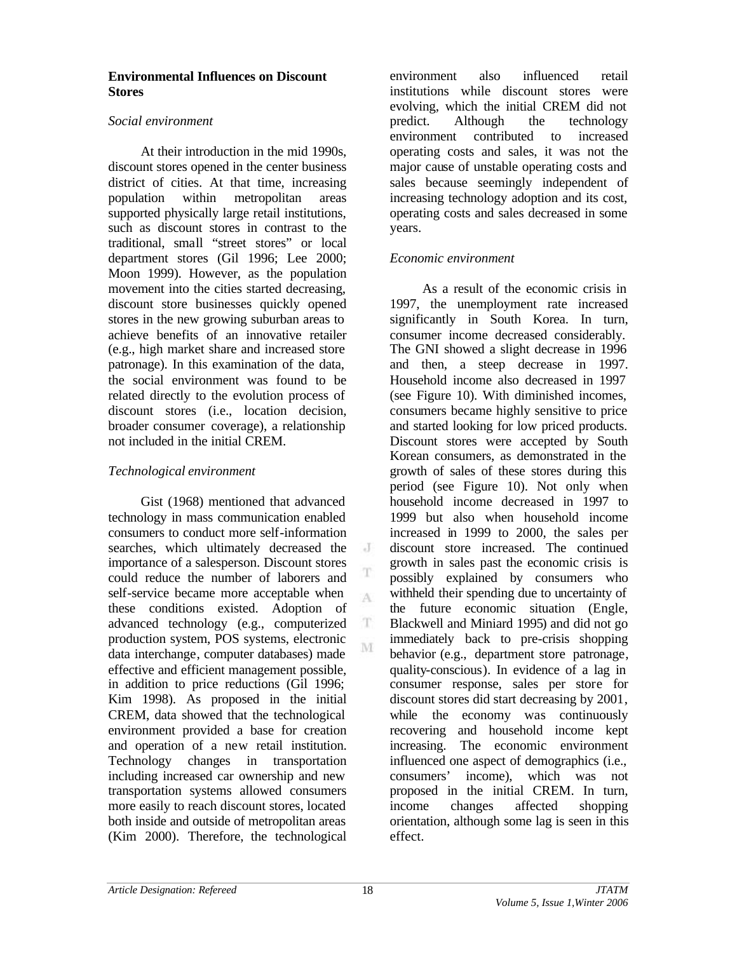#### **Environmental Influences on Discount Stores**

## *Social environment*

At their introduction in the mid 1990s, discount stores opened in the center business district of cities. At that time, increasing population within metropolitan areas supported physically large retail institutions, such as discount stores in contrast to the traditional, small "street stores" or local department stores (Gil 1996; Lee 2000; Moon 1999). However, as the population movement into the cities started decreasing, discount store businesses quickly opened stores in the new growing suburban areas to achieve benefits of an innovative retailer (e.g., high market share and increased store patronage). In this examination of the data, the social environment was found to be related directly to the evolution process of discount stores (i.e., location decision, broader consumer coverage), a relationship not included in the initial CREM.

# *Technological environment*

Gist (1968) mentioned that advanced technology in mass communication enabled consumers to conduct more self-information searches, which ultimately decreased the importance of a salesperson. Discount stores could reduce the number of laborers and self-service became more acceptable when these conditions existed. Adoption of advanced technology (e.g., computerized production system, POS systems, electronic data interchange, computer databases) made effective and efficient management possible, in addition to price reductions (Gil 1996; Kim 1998). As proposed in the initial CREM, data showed that the technological environment provided a base for creation and operation of a new retail institution. Technology changes in transportation including increased car ownership and new transportation systems allowed consumers more easily to reach discount stores, located both inside and outside of metropolitan areas (Kim 2000). Therefore, the technological

environment also influenced retail institutions while discount stores were evolving, which the initial CREM did not predict. Although the technology environment contributed to increased operating costs and sales, it was not the major cause of unstable operating costs and sales because seemingly independent of increasing technology adoption and its cost, operating costs and sales decreased in some years.

# *Economic environment*

As a result of the economic crisis in 1997, the unemployment rate increased significantly in South Korea. In turn, consumer income decreased considerably. The GNI showed a slight decrease in 1996 and then, a steep decrease in 1997. Household income also decreased in 1997 (see Figure 10). With diminished incomes, consumers became highly sensitive to price and started looking for low priced products. Discount stores were accepted by South Korean consumers, as demonstrated in the growth of sales of these stores during this period (see Figure 10). Not only when household income decreased in 1997 to 1999 but also when household income increased in 1999 to 2000, the sales per discount store increased. The continued growth in sales past the economic crisis is possibly explained by consumers who withheld their spending due to uncertainty of the future economic situation (Engle, Blackwell and Miniard 1995) and did not go immediately back to pre-crisis shopping behavior (e.g., department store patronage, quality-conscious). In evidence of a lag in consumer response, sales per store for discount stores did start decreasing by 2001, while the economy was continuously recovering and household income kept increasing. The economic environment influenced one aspect of demographics (i.e., consumers' income), which was not proposed in the initial CREM. In turn, income changes affected shopping orientation, although some lag is seen in this effect.

J

T A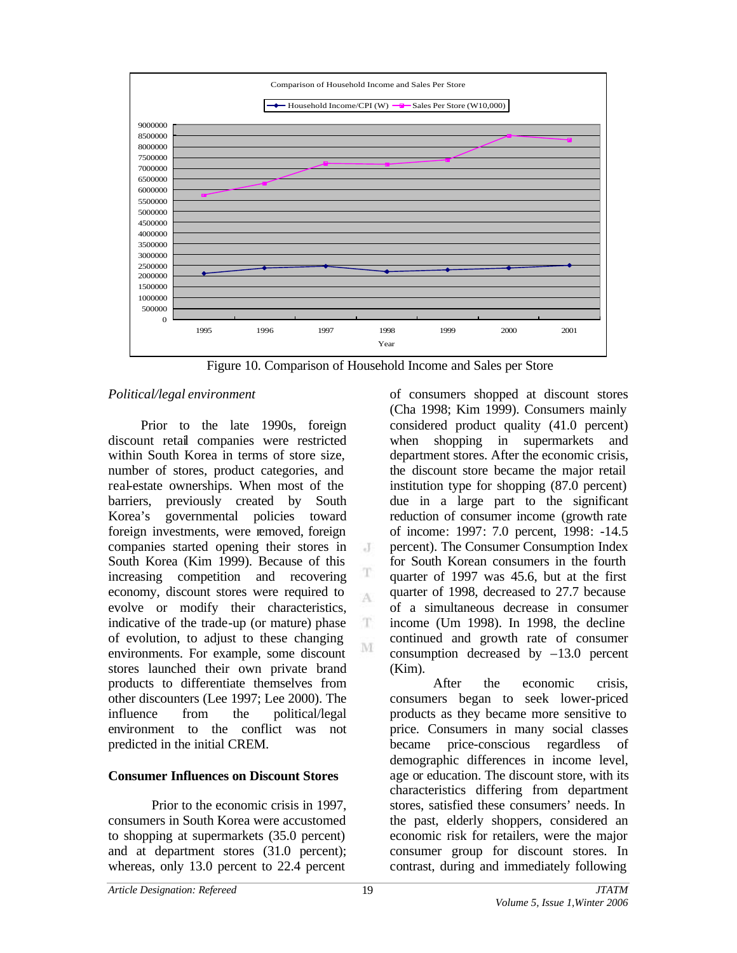

Figure 10. Comparison of Household Income and Sales per Store

 $\cdot$ T

T A

æ

M

## *Political/legal environment*

Prior to the late 1990s, foreign discount retail companies were restricted within South Korea in terms of store size, number of stores, product categories, and real-estate ownerships. When most of the barriers, previously created by South Korea's governmental policies toward foreign investments, were removed, foreign companies started opening their stores in South Korea (Kim 1999). Because of this increasing competition and recovering economy, discount stores were required to evolve or modify their characteristics, indicative of the trade-up (or mature) phase of evolution, to adjust to these changing environments. For example, some discount stores launched their own private brand products to differentiate themselves from other discounters (Lee 1997; Lee 2000). The influence from the political/legal environment to the conflict was not predicted in the initial CREM.

# **Consumer Influences on Discount Stores**

Prior to the economic crisis in 1997, consumers in South Korea were accustomed to shopping at supermarkets (35.0 percent) and at department stores (31.0 percent); whereas, only 13.0 percent to 22.4 percent

of consumers shopped at discount stores (Cha 1998; Kim 1999). Consumers mainly considered product quality (41.0 percent) when shopping in supermarkets and department stores. After the economic crisis, the discount store became the major retail institution type for shopping (87.0 percent) due in a large part to the significant reduction of consumer income (growth rate of income: 1997: 7.0 percent, 1998: -14.5 percent). The Consumer Consumption Index for South Korean consumers in the fourth quarter of 1997 was 45.6, but at the first quarter of 1998, decreased to 27.7 because of a simultaneous decrease in consumer income (Um 1998). In 1998, the decline continued and growth rate of consumer consumption decreased by –13.0 percent (Kim).

After the economic crisis, consumers began to seek lower-priced products as they became more sensitive to price. Consumers in many social classes became price-conscious regardless of demographic differences in income level, age or education. The discount store, with its characteristics differing from department stores, satisfied these consumers' needs. In the past, elderly shoppers, considered an economic risk for retailers, were the major consumer group for discount stores. In contrast, during and immediately following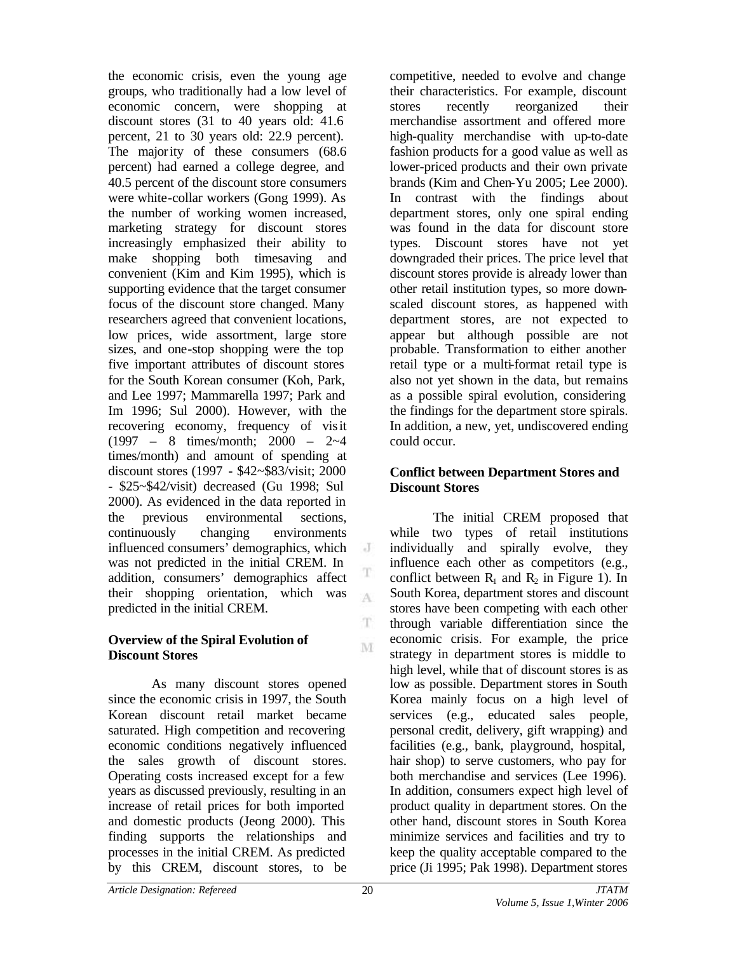the economic crisis, even the young age groups, who traditionally had a low level of economic concern, were shopping at discount stores (31 to 40 years old: 41.6 percent, 21 to 30 years old: 22.9 percent). The majority of these consumers (68.6) percent) had earned a college degree, and 40.5 percent of the discount store consumers were white-collar workers (Gong 1999). As the number of working women increased, marketing strategy for discount stores increasingly emphasized their ability to make shopping both timesaving and convenient (Kim and Kim 1995), which is supporting evidence that the target consumer focus of the discount store changed. Many researchers agreed that convenient locations, low prices, wide assortment, large store sizes, and one-stop shopping were the top five important attributes of discount stores for the South Korean consumer (Koh, Park, and Lee 1997; Mammarella 1997; Park and Im 1996; Sul 2000). However, with the recovering economy, frequency of visit (1997 – 8 times/month; 2000 – 2~4 times/month) and amount of spending at discount stores (1997 - \$42~\$83/visit; 2000 - \$25~\$42/visit) decreased (Gu 1998; Sul 2000). As evidenced in the data reported in the previous environmental sections, continuously changing environments influenced consumers' demographics, which was not predicted in the initial CREM. In addition, consumers' demographics affect their shopping orientation, which was predicted in the initial CREM.

## **Overview of the Spiral Evolution of Discount Stores**

As many discount stores opened since the economic crisis in 1997, the South Korean discount retail market became saturated. High competition and recovering economic conditions negatively influenced the sales growth of discount stores. Operating costs increased except for a few years as discussed previously, resulting in an increase of retail prices for both imported and domestic products (Jeong 2000). This finding supports the relationships and processes in the initial CREM. As predicted by this CREM, discount stores, to be

competitive, needed to evolve and change their characteristics. For example, discount stores recently reorganized their merchandise assortment and offered more high-quality merchandise with up-to-date fashion products for a good value as well as lower-priced products and their own private brands (Kim and Chen-Yu 2005; Lee 2000). In contrast with the findings about department stores, only one spiral ending was found in the data for discount store types. Discount stores have not yet downgraded their prices. The price level that discount stores provide is already lower than other retail institution types, so more downscaled discount stores, as happened with department stores, are not expected to appear but although possible are not probable. Transformation to either another retail type or a multi-format retail type is also not yet shown in the data, but remains as a possible spiral evolution, considering the findings for the department store spirals. In addition, a new, yet, undiscovered ending could occur.

### **Conflict between Department Stores and Discount Stores**

The initial CREM proposed that while two types of retail institutions individually and spirally evolve, they influence each other as competitors (e.g., conflict between  $R_1$  and  $R_2$  in Figure 1). In South Korea, department stores and discount stores have been competing with each other through variable differentiation since the economic crisis. For example, the price strategy in department stores is middle to high level, while that of discount stores is as low as possible. Department stores in South Korea mainly focus on a high level of services (e.g., educated sales people, personal credit, delivery, gift wrapping) and facilities (e.g., bank, playground, hospital, hair shop) to serve customers, who pay for both merchandise and services (Lee 1996). In addition, consumers expect high level of product quality in department stores. On the other hand, discount stores in South Korea minimize services and facilities and try to keep the quality acceptable compared to the price (Ji 1995; Pak 1998). Department stores

 $\cdot$  J

T  $\Lambda$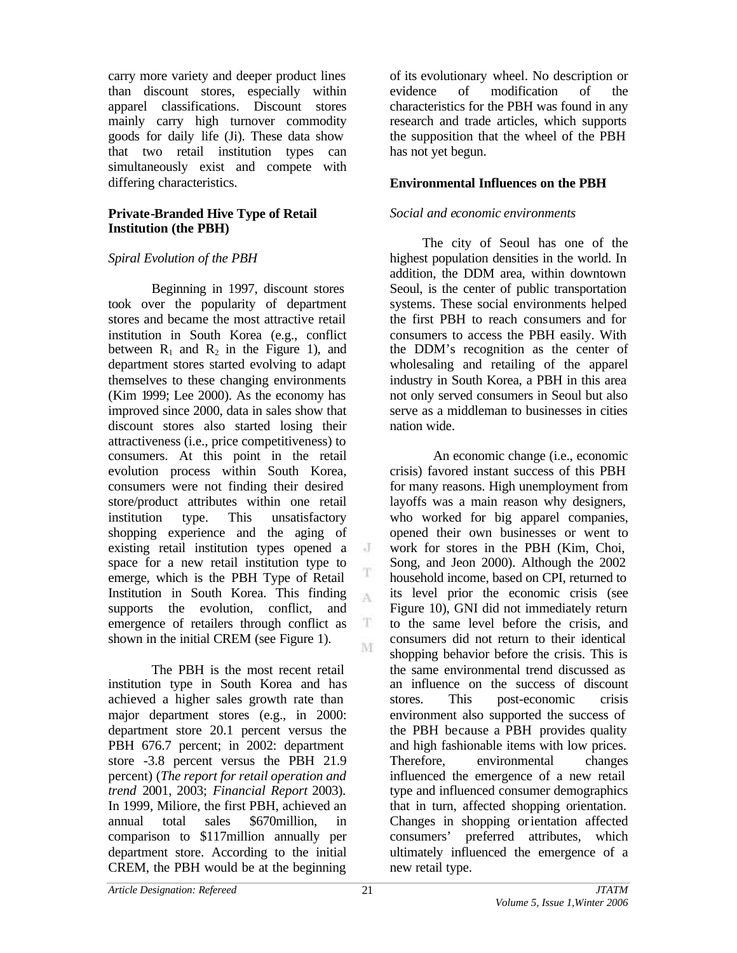carry more variety and deeper product lines than discount stores, especially within apparel classifications. Discount stores mainly carry high turnover commodity goods for daily life (Ji). These data show that two retail institution types can simultaneously exist and compete with differing characteristics.

### **Private-Branded Hive Type of Retail Institution (the PBH)**

## *Spiral Evolution of the PBH*

Beginning in 1997, discount stores took over the popularity of department stores and became the most attractive retail institution in South Korea (e.g., conflict between  $R_1$  and  $R_2$  in the Figure 1), and department stores started evolving to adapt themselves to these changing environments (Kim 1999; Lee 2000). As the economy has improved since 2000, data in sales show that discount stores also started losing their attractiveness (i.e., price competitiveness) to consumers. At this point in the retail evolution process within South Korea, consumers were not finding their desired store/product attributes within one retail institution type. This unsatisfactory shopping experience and the aging of existing retail institution types opened a space for a new retail institution type to emerge, which is the PBH Type of Retail Institution in South Korea. This finding supports the evolution, conflict, and emergence of retailers through conflict as shown in the initial CREM (see Figure 1).

The PBH is the most recent retail institution type in South Korea and has achieved a higher sales growth rate than major department stores (e.g., in 2000: department store 20.1 percent versus the PBH 676.7 percent; in 2002: department store -3.8 percent versus the PBH 21.9 percent) (*The report for retail operation and trend* 2001, 2003; *Financial Report* 2003). In 1999, Miliore, the first PBH, achieved an annual total sales \$670million, in comparison to \$117million annually per department store. According to the initial CREM, the PBH would be at the beginning

of its evolutionary wheel. No description or evidence of modification of the characteristics for the PBH was found in any research and trade articles, which supports the supposition that the wheel of the PBH has not yet begun.

# **Environmental Influences on the PBH**

## *Social and economic environments*

The city of Seoul has one of the highest population densities in the world. In addition, the DDM area, within downtown Seoul, is the center of public transportation systems. These social environments helped the first PBH to reach consumers and for consumers to access the PBH easily. With the DDM's recognition as the center of wholesaling and retailing of the apparel industry in South Korea, a PBH in this area not only served consumers in Seoul but also serve as a middleman to businesses in cities nation wide.

An economic change (i.e., economic crisis) favored instant success of this PBH for many reasons. High unemployment from layoffs was a main reason why designers, who worked for big apparel companies, opened their own businesses or went to work for stores in the PBH (Kim, Choi, Song, and Jeon 2000). Although the 2002 household income, based on CPI, returned to its level prior the economic crisis (see Figure 10), GNI did not immediately return to the same level before the crisis, and consumers did not return to their identical shopping behavior before the crisis. This is the same environmental trend discussed as an influence on the success of discount stores. This post-economic crisis environment also supported the success of the PBH because a PBH provides quality and high fashionable items with low prices. Therefore, environmental changes influenced the emergence of a new retail type and influenced consumer demographics that in turn, affected shopping orientation. Changes in shopping orientation affected consumers' preferred attributes, which ultimately influenced the emergence of a new retail type.

 $\cdot$  J

T A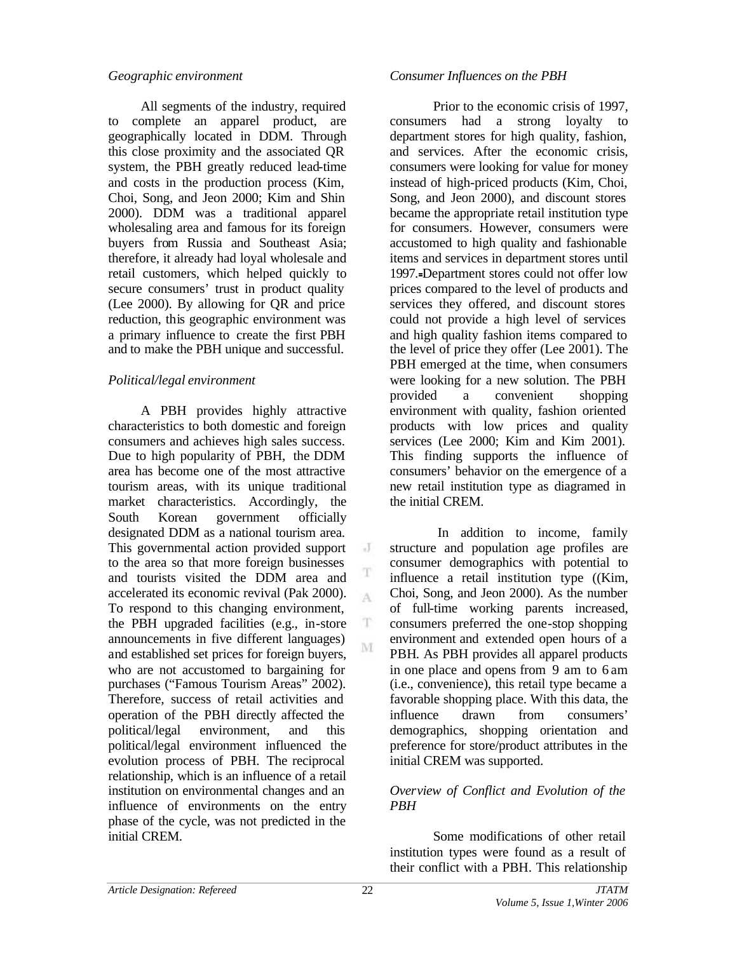### *Geographic environment*

All segments of the industry, required to complete an apparel product, are geographically located in DDM. Through this close proximity and the associated QR system, the PBH greatly reduced lead-time and costs in the production process (Kim, Choi, Song, and Jeon 2000; Kim and Shin 2000). DDM was a traditional apparel wholesaling area and famous for its foreign buyers from Russia and Southeast Asia; therefore, it already had loyal wholesale and retail customers, which helped quickly to secure consumers' trust in product quality (Lee 2000). By allowing for QR and price reduction, this geographic environment was a primary influence to create the first PBH and to make the PBH unique and successful.

## *Political/legal environment*

A PBH provides highly attractive characteristics to both domestic and foreign consumers and achieves high sales success. Due to high popularity of PBH, the DDM area has become one of the most attractive tourism areas, with its unique traditional market characteristics. Accordingly, the South Korean government officially designated DDM as a national tourism area. This governmental action provided support to the area so that more foreign businesses and tourists visited the DDM area and accelerated its economic revival (Pak 2000). To respond to this changing environment, the PBH upgraded facilities (e.g., in-store announcements in five different languages) and established set prices for foreign buyers, who are not accustomed to bargaining for purchases ("Famous Tourism Areas" 2002). Therefore, success of retail activities and operation of the PBH directly affected the political/legal environment, and this political/legal environment influenced the evolution process of PBH. The reciprocal relationship, which is an influence of a retail institution on environmental changes and an influence of environments on the entry phase of the cycle, was not predicted in the initial CREM.

### *Consumer Influences on the PBH*

Prior to the economic crisis of 1997, consumers had a strong loyalty to department stores for high quality, fashion, and services. After the economic crisis, consumers were looking for value for money instead of high-priced products (Kim, Choi, Song, and Jeon 2000), and discount stores became the appropriate retail institution type for consumers. However, consumers were accustomed to high quality and fashionable items and services in department stores until 1997. Department stores could not offer low prices compared to the level of products and services they offered, and discount stores could not provide a high level of services and high quality fashion items compared to the level of price they offer (Lee 2001). The PBH emerged at the time, when consumers were looking for a new solution. The PBH provided a convenient shopping environment with quality, fashion oriented products with low prices and quality services (Lee 2000; Kim and Kim 2001). This finding supports the influence of consumers' behavior on the emergence of a new retail institution type as diagramed in the initial CREM.

In addition to income, family structure and population age profiles are consumer demographics with potential to influence a retail institution type ((Kim, Choi, Song, and Jeon 2000). As the number of full-time working parents increased, consumers preferred the one-stop shopping environment and extended open hours of a PBH. As PBH provides all apparel products in one place and opens from 9 am to 6 am (i.e., convenience), this retail type became a favorable shopping place. With this data, the influence drawn from consumers' demographics, shopping orientation and preference for store/product attributes in the initial CREM was supported.

#### *Overview of Conflict and Evolution of the PBH*

Some modifications of other retail institution types were found as a result of their conflict with a PBH. This relationship

J

T  $\Lambda$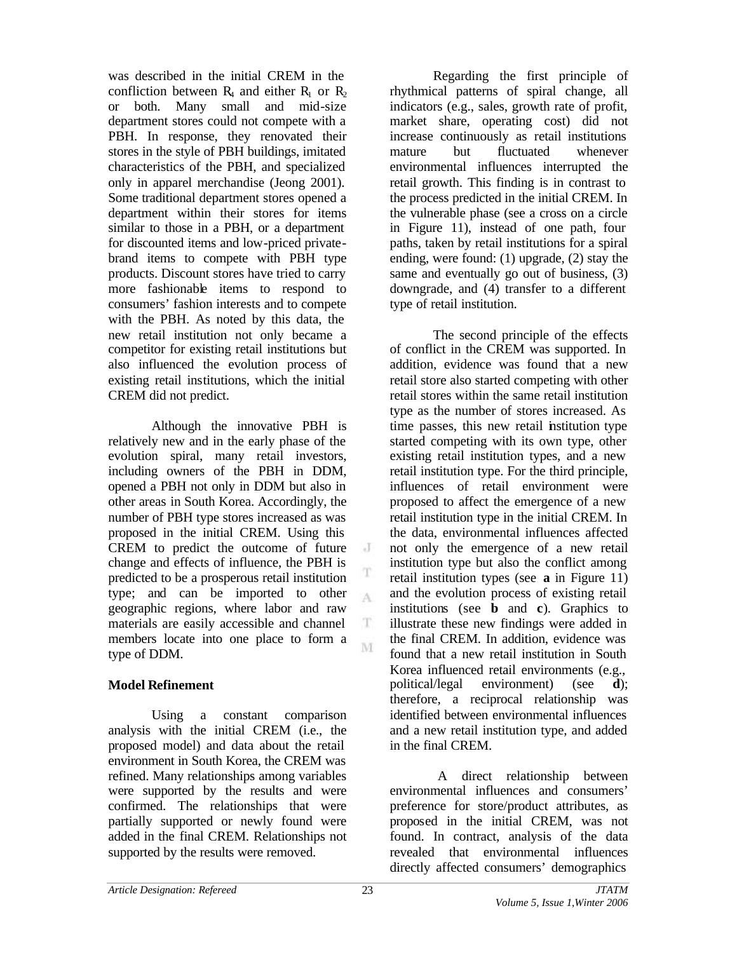was described in the initial CREM in the confliction between  $R_4$  and either  $R_1$  or  $R_2$ or both. Many small and mid-size department stores could not compete with a PBH. In response, they renovated their stores in the style of PBH buildings, imitated characteristics of the PBH, and specialized only in apparel merchandise (Jeong 2001). Some traditional department stores opened a department within their stores for items similar to those in a PBH, or a department for discounted items and low-priced privatebrand items to compete with PBH type products. Discount stores have tried to carry more fashionable items to respond to consumers' fashion interests and to compete with the PBH. As noted by this data, the new retail institution not only became a competitor for existing retail institutions but also influenced the evolution process of existing retail institutions, which the initial CREM did not predict.

Although the innovative PBH is relatively new and in the early phase of the evolution spiral, many retail investors, including owners of the PBH in DDM, opened a PBH not only in DDM but also in other areas in South Korea. Accordingly, the number of PBH type stores increased as was proposed in the initial CREM. Using this CREM to predict the outcome of future change and effects of influence, the PBH is predicted to be a prosperous retail institution type; and can be imported to other geographic regions, where labor and raw materials are easily accessible and channel members locate into one place to form a type of DDM.

## **Model Refinement**

Using a constant comparison analysis with the initial CREM (i.e., the proposed model) and data about the retail environment in South Korea, the CREM was refined. Many relationships among variables were supported by the results and were confirmed. The relationships that were partially supported or newly found were added in the final CREM. Relationships not supported by the results were removed.

Regarding the first principle of rhythmical patterns of spiral change, all indicators (e.g., sales, growth rate of profit, market share, operating cost) did not increase continuously as retail institutions mature but fluctuated whenever environmental influences interrupted the retail growth. This finding is in contrast to the process predicted in the initial CREM. In the vulnerable phase (see a cross on a circle in Figure 11), instead of one path, four paths, taken by retail institutions for a spiral ending, were found: (1) upgrade, (2) stay the same and eventually go out of business, (3) downgrade, and (4) transfer to a different type of retail institution.

The second principle of the effects of conflict in the CREM was supported. In addition, evidence was found that a new retail store also started competing with other retail stores within the same retail institution type as the number of stores increased. As time passes, this new retail institution type started competing with its own type, other existing retail institution types, and a new retail institution type. For the third principle, influences of retail environment were proposed to affect the emergence of a new retail institution type in the initial CREM. In the data, environmental influences affected not only the emergence of a new retail institution type but also the conflict among retail institution types (see **a** in Figure 11) and the evolution process of existing retail institutions (see **b** and **c**). Graphics to illustrate these new findings were added in the final CREM. In addition, evidence was found that a new retail institution in South Korea influenced retail environments (e.g., political/legal environment) (see **d**); therefore, a reciprocal relationship was identified between environmental influences and a new retail institution type, and added in the final CREM.

A direct relationship between environmental influences and consumers' preference for store/product attributes, as proposed in the initial CREM, was not found. In contract, analysis of the data revealed that environmental influences directly affected consumers' demographics

J

T A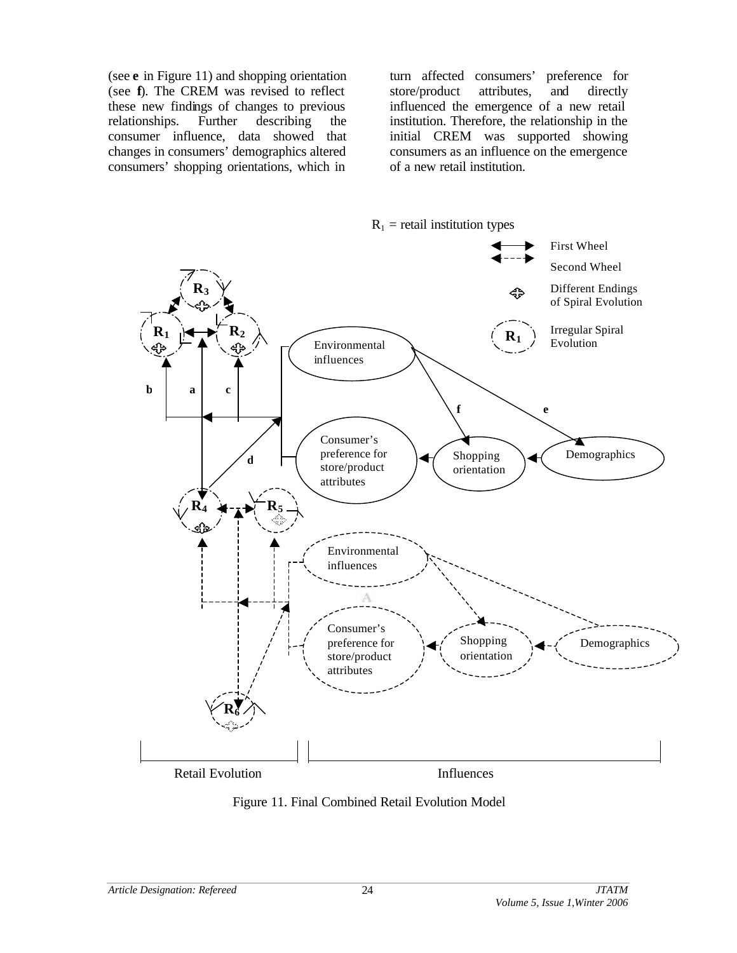(see **e** in Figure 11) and shopping orientation (see **f**). The CREM was revised to reflect these new findings of changes to previous<br>relationships. Further describing the relationships. Further describing the consumer influence, data showed that changes in consumers' demographics altered consumers' shopping orientations, which in

turn affected consumers' preference for store/product attributes, and directly influenced the emergence of a new retail institution. Therefore, the relationship in the initial CREM was supported showing consumers as an influence on the emergence of a new retail institution.



Figure 11. Final Combined Retail Evolution Model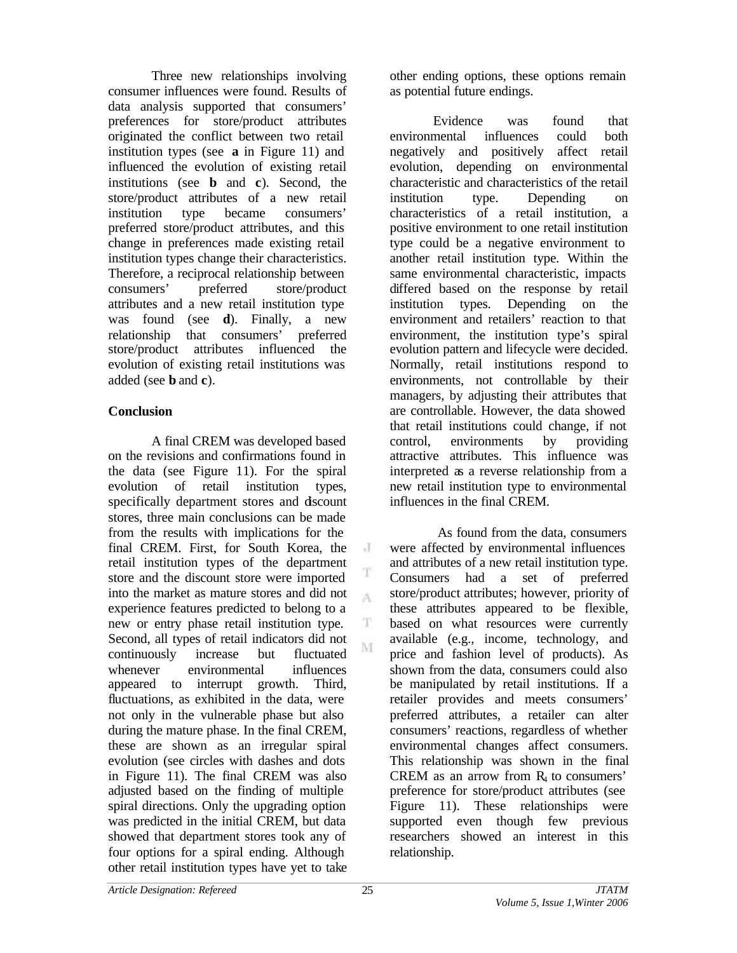Three new relationships involving consumer influences were found. Results of data analysis supported that consumers' preferences for store/product attributes originated the conflict between two retail institution types (see **a** in Figure 11) and influenced the evolution of existing retail institutions (see **b** and **c**). Second, the store/product attributes of a new retail institution type became consumers' preferred store/product attributes, and this change in preferences made existing retail institution types change their characteristics. Therefore, a reciprocal relationship between consumers' preferred store/product attributes and a new retail institution type was found (see **d**). Finally, a new relationship that consumers' preferred store/product attributes influenced the evolution of existing retail institutions was added (see **b** and **c**).

## **Conclusion**

A final CREM was developed based on the revisions and confirmations found in the data (see Figure 11). For the spiral evolution of retail institution types, specifically department stores and discount stores, three main conclusions can be made from the results with implications for the final CREM. First, for South Korea, the retail institution types of the department store and the discount store were imported into the market as mature stores and did not experience features predicted to belong to a new or entry phase retail institution type. Second, all types of retail indicators did not continuously increase but fluctuated whenever environmental influences appeared to interrupt growth. Third, fluctuations, as exhibited in the data, were not only in the vulnerable phase but also during the mature phase. In the final CREM, these are shown as an irregular spiral evolution (see circles with dashes and dots in Figure 11). The final CREM was also adjusted based on the finding of multiple spiral directions. Only the upgrading option was predicted in the initial CREM, but data showed that department stores took any of four options for a spiral ending. Although other retail institution types have yet to take

other ending options, these options remain as potential future endings.

Evidence was found that environmental influences could both negatively and positively affect retail evolution, depending on environmental characteristic and characteristics of the retail institution type. Depending on characteristics of a retail institution, a positive environment to one retail institution type could be a negative environment to another retail institution type. Within the same environmental characteristic, impacts differed based on the response by retail institution types. Depending on the environment and retailers' reaction to that environment, the institution type's spiral evolution pattern and lifecycle were decided. Normally, retail institutions respond to environments, not controllable by their managers, by adjusting their attributes that are controllable. However, the data showed that retail institutions could change, if not control, environments by providing attractive attributes. This influence was interpreted as a reverse relationship from a new retail institution type to environmental influences in the final CREM.

As found from the data, consumers were affected by environmental influences and attributes of a new retail institution type. Consumers had a set of preferred store/product attributes; however, priority of these attributes appeared to be flexible, based on what resources were currently available (e.g., income, technology, and price and fashion level of products). As shown from the data, consumers could also be manipulated by retail institutions. If a retailer provides and meets consumers' preferred attributes, a retailer can alter consumers' reactions, regardless of whether environmental changes affect consumers. This relationship was shown in the final CREM as an arrow from  $R_1$  to consumers' preference for store/product attributes (see Figure 11). These relationships were supported even though few previous researchers showed an interest in this relationship.

J

A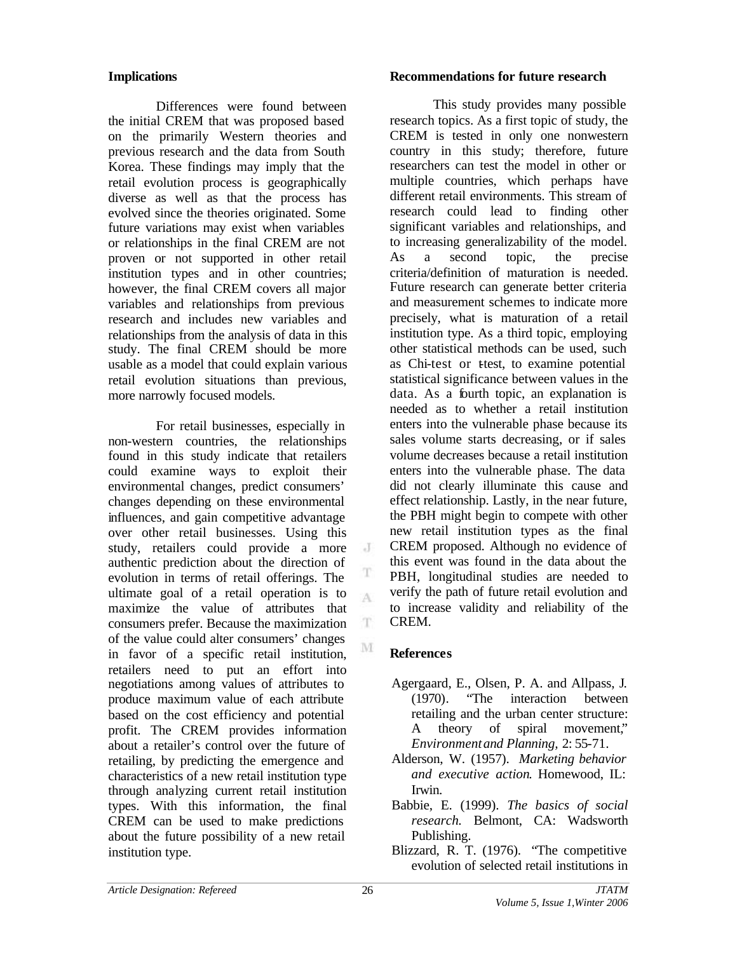### **Implications**

Differences were found between the initial CREM that was proposed based on the primarily Western theories and previous research and the data from South Korea. These findings may imply that the retail evolution process is geographically diverse as well as that the process has evolved since the theories originated. Some future variations may exist when variables or relationships in the final CREM are not proven or not supported in other retail institution types and in other countries; however, the final CREM covers all major variables and relationships from previous research and includes new variables and relationships from the analysis of data in this study. The final CREM should be more usable as a model that could explain various retail evolution situations than previous, more narrowly focused models.

For retail businesses, especially in non-western countries, the relationships found in this study indicate that retailers could examine ways to exploit their environmental changes, predict consumers' changes depending on these environmental influences, and gain competitive advantage over other retail businesses. Using this study, retailers could provide a more authentic prediction about the direction of evolution in terms of retail offerings. The ultimate goal of a retail operation is to maximize the value of attributes that consumers prefer. Because the maximization of the value could alter consumers' changes in favor of a specific retail institution, retailers need to put an effort into negotiations among values of attributes to produce maximum value of each attribute based on the cost efficiency and potential profit. The CREM provides information about a retailer's control over the future of retailing, by predicting the emergence and characteristics of a new retail institution type through analyzing current retail institution types. With this information, the final CREM can be used to make predictions about the future possibility of a new retail institution type.

#### **Recommendations for future research**

This study provides many possible research topics. As a first topic of study, the CREM is tested in only one nonwestern country in this study; therefore, future researchers can test the model in other or multiple countries, which perhaps have different retail environments. This stream of research could lead to finding other significant variables and relationships, and to increasing generalizability of the model. As a second topic, the precise criteria/definition of maturation is needed. Future research can generate better criteria and measurement schemes to indicate more precisely, what is maturation of a retail institution type. As a third topic, employing other statistical methods can be used, such as Chi-test or ttest, to examine potential statistical significance between values in the data. As a fourth topic, an explanation is needed as to whether a retail institution enters into the vulnerable phase because its sales volume starts decreasing, or if sales volume decreases because a retail institution enters into the vulnerable phase. The data did not clearly illuminate this cause and effect relationship. Lastly, in the near future, the PBH might begin to compete with other new retail institution types as the final CREM proposed. Although no evidence of this event was found in the data about the PBH, longitudinal studies are needed to verify the path of future retail evolution and to increase validity and reliability of the CREM.

## **References**

- Agergaard, E., Olsen, P. A. and Allpass, J. (1970). "The interaction between retailing and the urban center structure: A theory of spiral movement," *Environment and Planning,* 2: 55-71.
- Alderson, W. (1957). *Marketing behavior and executive action*. Homewood, IL: Irwin.
- Babbie, E. (1999). *The basics of social research.* Belmont, CA: Wadsworth Publishing.
- Blizzard, R. T. (1976). "The competitive evolution of selected retail institutions in

 $\cdot$ T

T A

T. M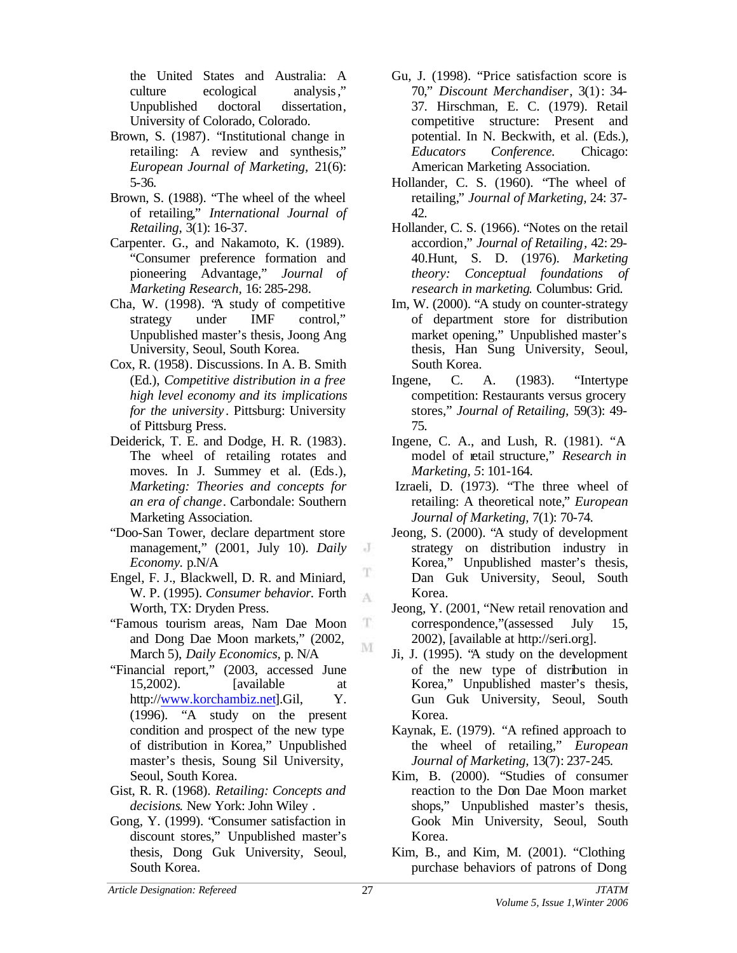the United States and Australia: A culture ecological analysis," Unpublished doctoral dissertation, University of Colorado, Colorado.

- Brown, S. (1987). "Institutional change in retailing: A review and synthesis," *European Journal of Marketing,* 21(6): 5-36.
- Brown, S. (1988). "The wheel of the wheel of retailing," *International Journal of Retailing,* 3(1): 16-37.
- Carpenter. G., and Nakamoto, K. (1989). "Consumer preference formation and pioneering Advantage," *Journal of Marketing Research,* 16: 285-298.
- Cha, W. (1998). "A study of competitive strategy under IMF control," Unpublished master's thesis, Joong Ang University, Seoul, South Korea.
- Cox, R. (1958). Discussions. In A. B. Smith (Ed.), *Competitive distribution in a free high level economy and its implications for the university* . Pittsburg: University of Pittsburg Press.
- Deiderick, T. E. and Dodge, H. R. (1983). The wheel of retailing rotates and moves. In J. Summey et al. (Eds.), *Marketing: Theories and concepts for an era of change*. Carbondale: Southern Marketing Association.
- "Doo-San Tower, declare department store management," (2001, July 10). *Daily Economy.* p.N/A
- Engel, F. J., Blackwell, D. R. and Miniard, W. P. (1995). *Consumer behavior.* Forth Worth, TX: Dryden Press.
- "Famous tourism areas, Nam Dae Moon and Dong Dae Moon markets," (2002, March 5), *Daily Economics,* p. N/A
- "Financial report," (2003, accessed June 15,2002). [available at [http://www.korchambiz.net\].Gil,](http://www.korchambiz.net].Gil) Y. (1996). "A study on the present condition and prospect of the new type of distribution in Korea," Unpublished master's thesis, Soung Sil University, Seoul, South Korea.
- Gist, R. R. (1968). *Retailing: Concepts and decisions*. New York: John Wiley .
- Gong, Y. (1999). "Consumer satisfaction in discount stores," Unpublished master's thesis, Dong Guk University, Seoul, South Korea.
- Gu, J. (1998). "Price satisfaction score is 70," *Discount Merchandiser*, 3(1): 34- 37. Hirschman, E. C. (1979). Retail competitive structure: Present and potential. In N. Beckwith, et al. (Eds.), *Educators Conference.* Chicago: American Marketing Association.
- Hollander, C. S. (1960). "The wheel of retailing," *Journal of Marketing,* 24: 37- 42.
- Hollander, C. S. (1966). "Notes on the retail accordion," *Journal of Retailing,* 42: 29- 40.Hunt, S. D. (1976). *Marketing theory: Conceptual foundations of research in marketing*. Columbus: Grid.
- Im, W. (2000). "A study on counter-strategy of department store for distribution market opening," Unpublished master's thesis, Han Sung University, Seoul, South Korea.
- Ingene, C. A. (1983). "Intertype competition: Restaurants versus grocery stores," *Journal of Retailing,* 59(3): 49- 75.
- Ingene, C. A., and Lush, R. (1981). "A model of retail structure," *Research in Marketing, 5*: 101-164.
- Izraeli, D. (1973). "The three wheel of retailing: A theoretical note," *European Journal of Marketing,* 7(1): 70-74.
- Jeong, S. (2000). "A study of development strategy on distribution industry in Korea," Unpublished master's thesis, Dan Guk University, Seoul, South Korea.
- Jeong, Y. (2001, "New retail renovation and correspondence,"(assessed July 15, 2002), [available at [http://seri.org\].](http://seri.org)
- Ji, J. (1995). "A study on the development of the new type of distribution in Korea," Unpublished master's thesis, Gun Guk University, Seoul, South Korea.
- Kaynak, E. (1979). "A refined approach to the wheel of retailing," *European Journal of Marketing,* 13(7): 237-245.
- Kim, B. (2000). "Studies of consumer reaction to the Don Dae Moon market shops," Unpublished master's thesis, Gook Min University, Seoul, South Korea.
- Kim, B., and Kim, M. (2001). "Clothing purchase behaviors of patrons of Dong

J

T A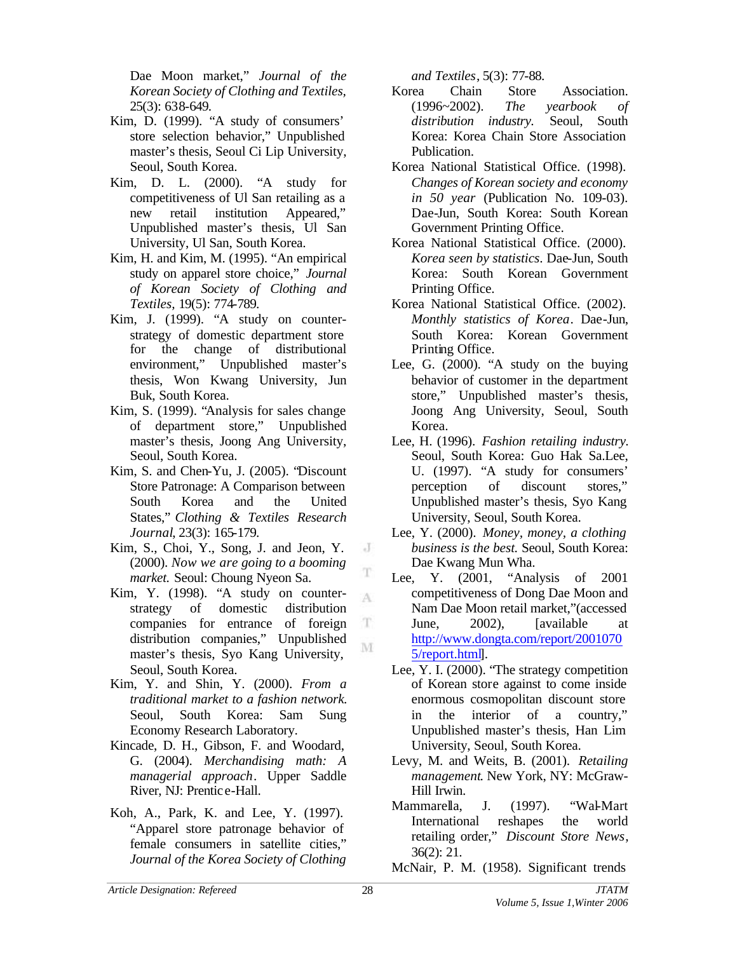Dae Moon market," *Journal of the Korean Society of Clothing and Textiles,*  25(3): 638-649.

- Kim, D. (1999). "A study of consumers' store selection behavior," Unpublished master's thesis, Seoul Ci Lip University, Seoul, South Korea.
- Kim, D. L. (2000). "A study for competitiveness of Ul San retailing as a new retail institution Appeared," Unpublished master's thesis, Ul San University, Ul San, South Korea.
- Kim, H. and Kim, M. (1995). "An empirical study on apparel store choice," *Journal of Korean Society of Clothing and Textiles,* 19(5): 774-789.
- Kim, J. (1999). "A study on counterstrategy of domestic department store for the change of distributional environment," Unpublished master's thesis, Won Kwang University, Jun Buk, South Korea.
- Kim, S. (1999). "Analysis for sales change of department store," Unpublished master's thesis, Joong Ang University, Seoul, South Korea.
- Kim, S. and Chen-Yu, J. (2005). "Discount Store Patronage: A Comparison between South Korea and the United States," *Clothing & Textiles Research Journal*, 23(3): 165-179.
- Kim, S., Choi, Y., Song, J. and Jeon, Y. (2000). *Now we are going to a booming market.* Seoul: Choung Nyeon Sa.
- Kim, Y. (1998). "A study on counterstrategy of domestic distribution companies for entrance of foreign distribution companies," Unpublished master's thesis, Syo Kang University, Seoul, South Korea.
- Kim, Y. and Shin, Y. (2000). *From a traditional market to a fashion network.* Seoul, South Korea: Sam Sung Economy Research Laboratory.
- Kincade, D. H., Gibson, F. and Woodard, G. (2004). *Merchandising math: A managerial approach*. Upper Saddle River, NJ: Prentice-Hall.
- Koh, A., Park, K. and Lee, Y. (1997). "Apparel store patronage behavior of female consumers in satellite cities," *Journal of the Korea Society of Clothing*

*and Textiles*, 5(3): 77-88.

- Korea Chain Store Association. (1996~2002). *The yearbook of distribution industry.* Seoul, South Korea: Korea Chain Store Association Publication.
- Korea National Statistical Office. (1998). *Changes of Korean society and economy in 50 year* (Publication No. 109-03). Dae-Jun, South Korea: South Korean Government Printing Office.
- Korea National Statistical Office. (2000). *Korea seen by statistics*. Dae-Jun, South Korea: South Korean Government Printing Office.
- Korea National Statistical Office. (2002). *Monthly statistics of Korea*. Dae-Jun, South Korea: Korean Government Printing Office.
- Lee, G. (2000). "A study on the buying behavior of customer in the department store," Unpublished master's thesis, Joong Ang University, Seoul, South Korea.
- Lee, H. (1996). *Fashion retailing industry.* Seoul, South Korea: Guo Hak Sa.Lee, U. (1997). "A study for consumers' perception of discount stores," Unpublished master's thesis, Syo Kang University, Seoul, South Korea.
- Lee, Y. (2000). *Money, money, a clothing business is the best.* Seoul, South Korea: Dae Kwang Mun Wha.
- Lee, Y. (2001, "Analysis of 2001 competitiveness of Dong Dae Moon and Nam Dae Moon retail market,"(accessed June, 2002), [available at <http://www.dongta.com/report/2001070> 5/report.html].
- Lee, Y. I. (2000). "The strategy competition of Korean store against to come inside enormous cosmopolitan discount store in the interior of a country," Unpublished master's thesis, Han Lim University, Seoul, South Korea.
- Levy, M. and Weits, B. (2001). *Retailing management*. New York, NY: McGraw-Hill Irwin.
- Mammarella, J. (1997). "Wal-Mart International reshapes the world retailing order," *Discount Store News*, 36(2): 21.
- McNair, P. M. (1958). Significant trends

J

T

A